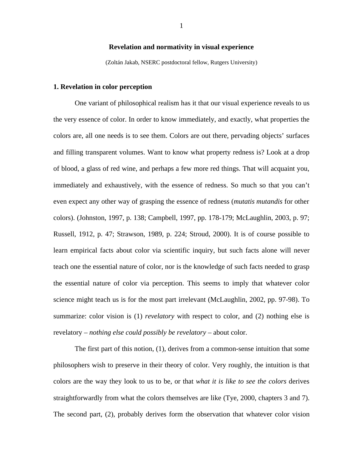## **Revelation and normativity in visual experience**

(Zoltán Jakab, NSERC postdoctoral fellow, Rutgers University)

#### **1. Revelation in color perception**

One variant of philosophical realism has it that our visual experience reveals to us the very essence of color. In order to know immediately, and exactly, what properties the colors are, all one needs is to see them. Colors are out there, pervading objects' surfaces and filling transparent volumes. Want to know what property redness is? Look at a drop of blood, a glass of red wine, and perhaps a few more red things. That will acquaint you, immediately and exhaustively, with the essence of redness. So much so that you can't even expect any other way of grasping the essence of redness (*mutatis mutandis* for other colors). (Johnston, 1997, p. 138; Campbell, 1997, pp. 178-179; McLaughlin, 2003, p. 97; Russell, 1912, p. 47; Strawson, 1989, p. 224; Stroud, 2000). It is of course possible to learn empirical facts about color via scientific inquiry, but such facts alone will never teach one the essential nature of color, nor is the knowledge of such facts needed to grasp the essential nature of color via perception. This seems to imply that whatever color science might teach us is for the most part irrelevant (McLaughlin, 2002, pp. 97-98). To summarize: color vision is (1) *revelatory* with respect to color, and (2) nothing else is revelatory – *nothing else could possibly be revelatory* – about color.

The first part of this notion, (1), derives from a common-sense intuition that some philosophers wish to preserve in their theory of color. Very roughly, the intuition is that colors are the way they look to us to be, or that *what it is like to see the colors* derives straightforwardly from what the colors themselves are like (Tye, 2000, chapters 3 and 7). The second part, (2), probably derives form the observation that whatever color vision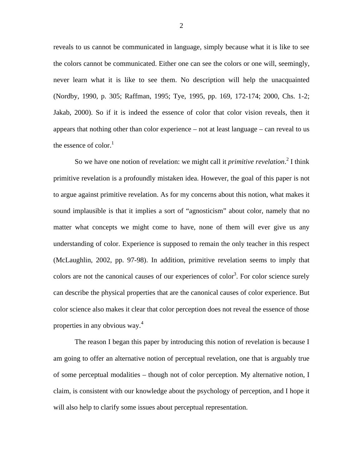reveals to us cannot be communicated in language, simply because what it is like to see the colors cannot be communicated. Either one can see the colors or one will, seemingly, never learn what it is like to see them. No description will help the unacquainted (Nordby, 1990, p. 305; Raffman, 1995; Tye, 1995, pp. 169, 172-174; 2000, Chs. 1-2; Jakab, 2000). So if it is indeed the essence of color that color vision reveals, then it appears that nothing other than color experience – not at least language – can reveal to us the essence of color. $<sup>1</sup>$ </sup>

So we have one notion of revelation: we might call it *primitive revelation*.<sup>2</sup> I think primitive revelation is a profoundly mistaken idea. However, the goal of this paper is not to argue against primitive revelation. As for my concerns about this notion, what makes it sound implausible is that it implies a sort of "agnosticism" about color, namely that no matter what concepts we might come to have, none of them will ever give us any understanding of color. Experience is supposed to remain the only teacher in this respect (McLaughlin, 2002, pp. 97-98). In addition, primitive revelation seems to imply that colors are not the canonical causes of our experiences of color<sup>3</sup>. For color science surely can describe the physical properties that are the canonical causes of color experience. But color science also makes it clear that color perception does not reveal the essence of those properties in any obvious way.<sup>4</sup>

The reason I began this paper by introducing this notion of revelation is because I am going to offer an alternative notion of perceptual revelation, one that is arguably true of some perceptual modalities – though not of color perception. My alternative notion, I claim, is consistent with our knowledge about the psychology of perception, and I hope it will also help to clarify some issues about perceptual representation.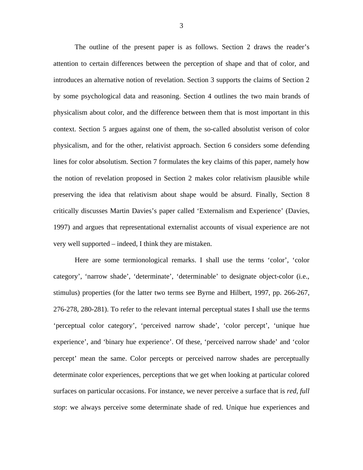The outline of the present paper is as follows. Section 2 draws the reader's attention to certain differences between the perception of shape and that of color, and introduces an alternative notion of revelation. Section 3 supports the claims of Section 2 by some psychological data and reasoning. Section 4 outlines the two main brands of physicalism about color, and the difference between them that is most important in this context. Section 5 argues against one of them, the so-called absolutist verison of color physicalism, and for the other, relativist approach. Section 6 considers some defending lines for color absolutism. Section 7 formulates the key claims of this paper, namely how the notion of revelation proposed in Section 2 makes color relativism plausible while preserving the idea that relativism about shape would be absurd. Finally, Section 8 critically discusses Martin Davies's paper called 'Externalism and Experience' (Davies, 1997) and argues that representational externalist accounts of visual experience are not very well supported – indeed, I think they are mistaken.

Here are some termionological remarks. I shall use the terms 'color', 'color category', 'narrow shade', 'determinate', 'determinable' to designate object-color (i.e., stimulus) properties (for the latter two terms see Byrne and Hilbert, 1997, pp. 266-267, 276-278, 280-281). To refer to the relevant internal perceptual states I shall use the terms 'perceptual color category', 'perceived narrow shade', 'color percept', 'unique hue experience', and 'binary hue experience'. Of these, 'perceived narrow shade' and 'color percept' mean the same. Color percepts or perceived narrow shades are perceptually determinate color experiences, perceptions that we get when looking at particular colored surfaces on particular occasions. For instance, we never perceive a surface that is *red, full stop*: we always perceive some determinate shade of red. Unique hue experiences and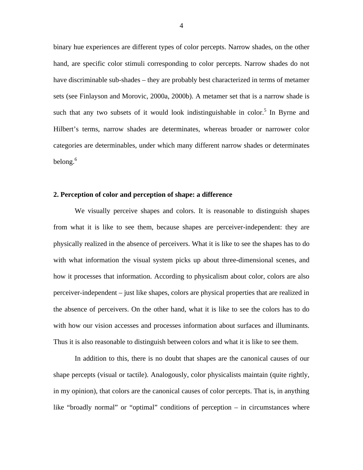binary hue experiences are different types of color percepts. Narrow shades, on the other hand, are specific color stimuli corresponding to color percepts. Narrow shades do not have discriminable sub-shades – they are probably best characterized in terms of metamer sets (see Finlayson and Morovic, 2000a, 2000b). A metamer set that is a narrow shade is such that any two subsets of it would look indistinguishable in color.<sup>5</sup> In Byrne and Hilbert's terms, narrow shades are determinates, whereas broader or narrower color categories are determinables, under which many different narrow shades or determinates belong.<sup>6</sup>

## **2. Perception of color and perception of shape: a difference**

We visually perceive shapes and colors. It is reasonable to distinguish shapes from what it is like to see them, because shapes are perceiver-independent: they are physically realized in the absence of perceivers. What it is like to see the shapes has to do with what information the visual system picks up about three-dimensional scenes, and how it processes that information. According to physicalism about color, colors are also perceiver-independent – just like shapes, colors are physical properties that are realized in the absence of perceivers. On the other hand, what it is like to see the colors has to do with how our vision accesses and processes information about surfaces and illuminants. Thus it is also reasonable to distinguish between colors and what it is like to see them.

In addition to this, there is no doubt that shapes are the canonical causes of our shape percepts (visual or tactile). Analogously, color physicalists maintain (quite rightly, in my opinion), that colors are the canonical causes of color percepts. That is, in anything like "broadly normal" or "optimal" conditions of perception – in circumstances where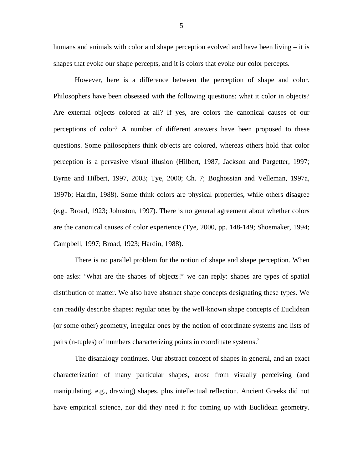humans and animals with color and shape perception evolved and have been living – it is shapes that evoke our shape percepts, and it is colors that evoke our color percepts.

However, here is a difference between the perception of shape and color. Philosophers have been obsessed with the following questions: what it color in objects? Are external objects colored at all? If yes, are colors the canonical causes of our perceptions of color? A number of different answers have been proposed to these questions. Some philosophers think objects are colored, whereas others hold that color perception is a pervasive visual illusion (Hilbert, 1987; Jackson and Pargetter, 1997; Byrne and Hilbert, 1997, 2003; Tye, 2000; Ch. 7; Boghossian and Velleman, 1997a, 1997b; Hardin, 1988). Some think colors are physical properties, while others disagree (e.g., Broad, 1923; Johnston, 1997). There is no general agreement about whether colors are the canonical causes of color experience (Tye, 2000, pp. 148-149; Shoemaker, 1994; Campbell, 1997; Broad, 1923; Hardin, 1988).

There is no parallel problem for the notion of shape and shape perception. When one asks: 'What are the shapes of objects?' we can reply: shapes are types of spatial distribution of matter. We also have abstract shape concepts designating these types. We can readily describe shapes: regular ones by the well-known shape concepts of Euclidean (or some other) geometry, irregular ones by the notion of coordinate systems and lists of pairs (n-tuples) of numbers characterizing points in coordinate systems.<sup>7</sup>

The disanalogy continues. Our abstract concept of shapes in general, and an exact characterization of many particular shapes, arose from visually perceiving (and manipulating, e.g., drawing) shapes, plus intellectual reflection. Ancient Greeks did not have empirical science, nor did they need it for coming up with Euclidean geometry.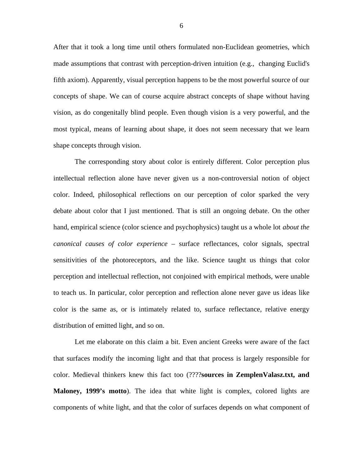After that it took a long time until others formulated non-Euclidean geometries, which made assumptions that contrast with perception-driven intuition (e.g., changing Euclid's fifth axiom). Apparently, visual perception happens to be the most powerful source of our concepts of shape. We can of course acquire abstract concepts of shape without having vision, as do congenitally blind people. Even though vision is a very powerful, and the most typical, means of learning about shape, it does not seem necessary that we learn shape concepts through vision.

The corresponding story about color is entirely different. Color perception plus intellectual reflection alone have never given us a non-controversial notion of object color. Indeed, philosophical reflections on our perception of color sparked the very debate about color that I just mentioned. That is still an ongoing debate. On the other hand, empirical science (color science and psychophysics) taught us a whole lot *about the canonical causes of color experience* – surface reflectances, color signals, spectral sensitivities of the photoreceptors, and the like. Science taught us things that color perception and intellectual reflection, not conjoined with empirical methods, were unable to teach us. In particular, color perception and reflection alone never gave us ideas like color is the same as, or is intimately related to, surface reflectance, relative energy distribution of emitted light, and so on.

Let me elaborate on this claim a bit. Even ancient Greeks were aware of the fact that surfaces modify the incoming light and that that process is largely responsible for color. Medieval thinkers knew this fact too (????**sources in ZemplenValasz.txt, and Maloney, 1999's motto**). The idea that white light is complex, colored lights are components of white light, and that the color of surfaces depends on what component of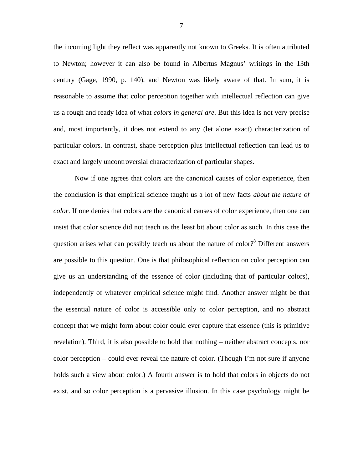the incoming light they reflect was apparently not known to Greeks. It is often attributed to Newton; however it can also be found in Albertus Magnus' writings in the 13th century (Gage, 1990, p. 140), and Newton was likely aware of that. In sum, it is reasonable to assume that color perception together with intellectual reflection can give us a rough and ready idea of what *colors in general are*. But this idea is not very precise and, most importantly, it does not extend to any (let alone exact) characterization of particular colors. In contrast, shape perception plus intellectual reflection can lead us to exact and largely uncontroversial characterization of particular shapes.

Now if one agrees that colors are the canonical causes of color experience, then the conclusion is that empirical science taught us a lot of new facts *about the nature of color*. If one denies that colors are the canonical causes of color experience, then one can insist that color science did not teach us the least bit about color as such. In this case the question arises what can possibly teach us about the nature of color?<sup>8</sup> Different answers are possible to this question. One is that philosophical reflection on color perception can give us an understanding of the essence of color (including that of particular colors), independently of whatever empirical science might find. Another answer might be that the essential nature of color is accessible only to color perception, and no abstract concept that we might form about color could ever capture that essence (this is primitive revelation). Third, it is also possible to hold that nothing – neither abstract concepts, nor color perception – could ever reveal the nature of color. (Though I'm not sure if anyone holds such a view about color.) A fourth answer is to hold that colors in objects do not exist, and so color perception is a pervasive illusion. In this case psychology might be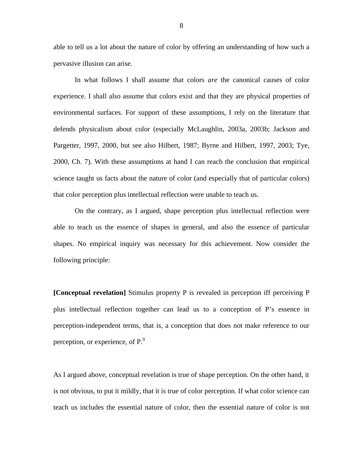able to tell us a lot about the nature of color by offering an understanding of how such a pervasive illusion can arise.

In what follows I shall assume that colors *are* the canonical causes of color experience. I shall also assume that colors exist and that they are physical properties of environmental surfaces. For support of these assumptions, I rely on the literature that defends physicalism about color (especially McLaughlin, 2003a, 2003b; Jackson and Pargetter, 1997, 2000, but see also Hilbert, 1987; Byrne and Hilbert, 1997, 2003; Tye, 2000, Ch. 7). With these assumptions at hand I can reach the conclusion that empirical science taught us facts about the nature of color (and especially that of particular colors) that color perception plus intellectual reflection were unable to teach us.

On the contrary, as I argued, shape perception plus intellectual reflection were able to teach us the essence of shapes in general, and also the essence of particular shapes. No empirical inquiry was necessary for this achievement. Now consider the following principle:

**[Conceptual revelation]** Stimulus property P is revealed in perception iff perceiving P plus intellectual reflection together can lead us to a conception of P's essence in perception-independent terms, that is, a conception that does not make reference to our perception, or experience, of  $P<sup>9</sup>$ .

As I argued above, conceptual revelation is true of shape perception. On the other hand, it is not obvious, to put it mildly, that it is true of color perception. If what color science can teach us includes the essential nature of color, then the essential nature of color is not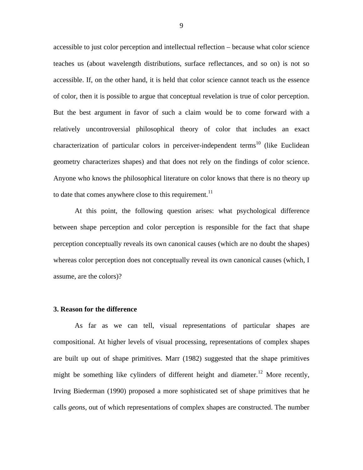accessible to just color perception and intellectual reflection – because what color science teaches us (about wavelength distributions, surface reflectances, and so on) is not so accessible. If, on the other hand, it is held that color science cannot teach us the essence of color, then it is possible to argue that conceptual revelation is true of color perception. But the best argument in favor of such a claim would be to come forward with a relatively uncontroversial philosophical theory of color that includes an exact characterization of particular colors in perceiver-independent terms<sup>10</sup> (like Euclidean geometry characterizes shapes) and that does not rely on the findings of color science. Anyone who knows the philosophical literature on color knows that there is no theory up to date that comes anywhere close to this requirement.<sup>11</sup>

At this point, the following question arises: what psychological difference between shape perception and color perception is responsible for the fact that shape perception conceptually reveals its own canonical causes (which are no doubt the shapes) whereas color perception does not conceptually reveal its own canonical causes (which, I assume, are the colors)?

#### **3. Reason for the difference**

As far as we can tell, visual representations of particular shapes are compositional. At higher levels of visual processing, representations of complex shapes are built up out of shape primitives. Marr (1982) suggested that the shape primitives might be something like cylinders of different height and diameter.<sup>12</sup> More recently, Irving Biederman (1990) proposed a more sophisticated set of shape primitives that he calls *geons*, out of which representations of complex shapes are constructed. The number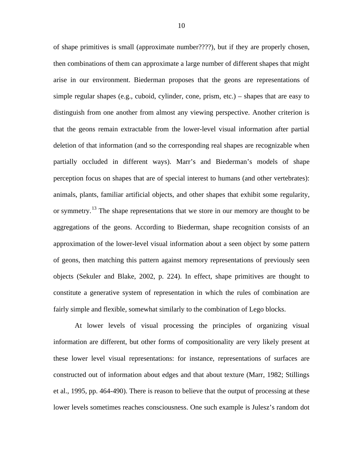of shape primitives is small (approximate number????), but if they are properly chosen, then combinations of them can approximate a large number of different shapes that might arise in our environment. Biederman proposes that the geons are representations of simple regular shapes (e.g., cuboid, cylinder, cone, prism, etc.) – shapes that are easy to distinguish from one another from almost any viewing perspective. Another criterion is that the geons remain extractable from the lower-level visual information after partial deletion of that information (and so the corresponding real shapes are recognizable when partially occluded in different ways). Marr's and Biederman's models of shape perception focus on shapes that are of special interest to humans (and other vertebrates): animals, plants, familiar artificial objects, and other shapes that exhibit some regularity, or symmetry.<sup>13</sup> The shape representations that we store in our memory are thought to be aggregations of the geons. According to Biederman, shape recognition consists of an approximation of the lower-level visual information about a seen object by some pattern of geons, then matching this pattern against memory representations of previously seen objects (Sekuler and Blake, 2002, p. 224). In effect, shape primitives are thought to constitute a generative system of representation in which the rules of combination are fairly simple and flexible, somewhat similarly to the combination of Lego blocks.

At lower levels of visual processing the principles of organizing visual information are different, but other forms of compositionality are very likely present at these lower level visual representations: for instance, representations of surfaces are constructed out of information about edges and that about texture (Marr, 1982; Stillings et al., 1995, pp. 464-490). There is reason to believe that the output of processing at these lower levels sometimes reaches consciousness. One such example is Julesz's random dot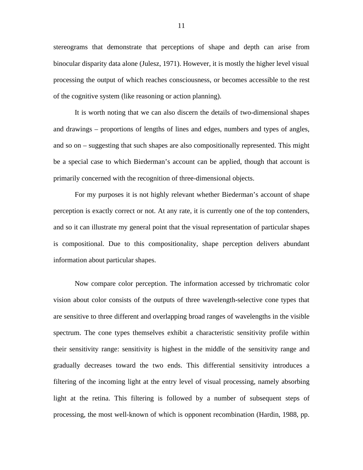stereograms that demonstrate that perceptions of shape and depth can arise from binocular disparity data alone (Julesz, 1971). However, it is mostly the higher level visual processing the output of which reaches consciousness, or becomes accessible to the rest of the cognitive system (like reasoning or action planning).

It is worth noting that we can also discern the details of two-dimensional shapes and drawings – proportions of lengths of lines and edges, numbers and types of angles, and so on – suggesting that such shapes are also compositionally represented. This might be a special case to which Biederman's account can be applied, though that account is primarily concerned with the recognition of three-dimensional objects.

For my purposes it is not highly relevant whether Biederman's account of shape perception is exactly correct or not. At any rate, it is currently one of the top contenders, and so it can illustrate my general point that the visual representation of particular shapes is compositional. Due to this compositionality, shape perception delivers abundant information about particular shapes.

Now compare color perception. The information accessed by trichromatic color vision about color consists of the outputs of three wavelength-selective cone types that are sensitive to three different and overlapping broad ranges of wavelengths in the visible spectrum. The cone types themselves exhibit a characteristic sensitivity profile within their sensitivity range: sensitivity is highest in the middle of the sensitivity range and gradually decreases toward the two ends. This differential sensitivity introduces a filtering of the incoming light at the entry level of visual processing, namely absorbing light at the retina. This filtering is followed by a number of subsequent steps of processing, the most well-known of which is opponent recombination (Hardin, 1988, pp.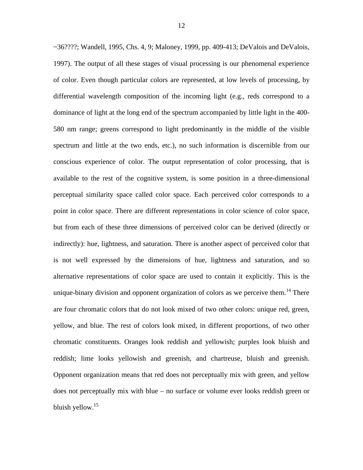~36????; Wandell, 1995, Chs. 4, 9; Maloney, 1999, pp. 409-413; DeValois and DeValois, 1997). The output of all these stages of visual processing is our phenomenal experience of color. Even though particular colors are represented, at low levels of processing, by differential wavelength composition of the incoming light (e.g., reds correspond to a dominance of light at the long end of the spectrum accompanied by little light in the 400- 580 nm range; greens correspond to light predominantly in the middle of the visible spectrum and little at the two ends, etc.), no such information is discernible from our conscious experience of color. The output representation of color processing, that is available to the rest of the cognitive system, is some position in a three-dimensional perceptual similarity space called color space. Each perceived color corresponds to a point in color space. There are different representations in color science of color space, but from each of these three dimensions of perceived color can be derived (directly or indirectly): hue, lightness, and saturation. There is another aspect of perceived color that is not well expressed by the dimensions of hue, lightness and saturation, and so alternative representations of color space are used to contain it explicitly. This is the unique-binary division and opponent organization of colors as we perceive them.<sup>14</sup> There are four chromatic colors that do not look mixed of two other colors: unique red, green, yellow, and blue. The rest of colors look mixed, in different proportions, of two other chromatic constituents. Oranges look reddish and yellowish; purples look bluish and reddish; lime looks yellowish and greenish, and chartreuse, bluish and greenish. Opponent organization means that red does not perceptually mix with green, and yellow does not perceptually mix with blue – no surface or volume ever looks reddish green or bluish yellow.<sup>15</sup>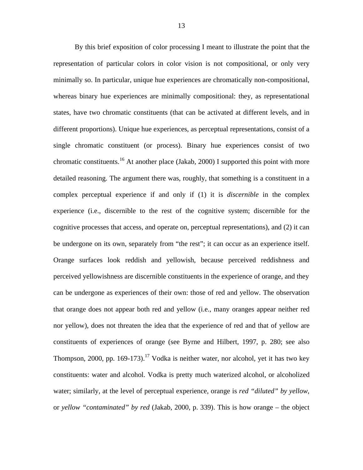By this brief exposition of color processing I meant to illustrate the point that the representation of particular colors in color vision is not compositional, or only very minimally so. In particular, unique hue experiences are chromatically non-compositional, whereas binary hue experiences are minimally compositional: they, as representational states, have two chromatic constituents (that can be activated at different levels, and in different proportions). Unique hue experiences, as perceptual representations, consist of a single chromatic constituent (or process). Binary hue experiences consist of two chromatic constituents.<sup>16</sup> At another place (Jakab, 2000) I supported this point with more detailed reasoning. The argument there was, roughly, that something is a constituent in a complex perceptual experience if and only if (1) it is *discernible* in the complex experience (i.e., discernible to the rest of the cognitive system; discernible for the cognitive processes that access, and operate on, perceptual representations), and (2) it can be undergone on its own, separately from "the rest"; it can occur as an experience itself. Orange surfaces look reddish and yellowish, because perceived reddishness and perceived yellowishness are discernible constituents in the experience of orange, and they can be undergone as experiences of their own: those of red and yellow. The observation that orange does not appear both red and yellow (i.e., many oranges appear neither red nor yellow), does not threaten the idea that the experience of red and that of yellow are constituents of experiences of orange (see Byrne and Hilbert, 1997, p. 280; see also Thompson, 2000, pp. 169-173).<sup>17</sup> Vodka is neither water, nor alcohol, yet it has two key constituents: water and alcohol. Vodka is pretty much waterized alcohol, or alcoholized water; similarly, at the level of perceptual experience, orange is *red "diluted" by yellow*, or *yellow "contaminated" by red* (Jakab, 2000, p. 339). This is how orange – the object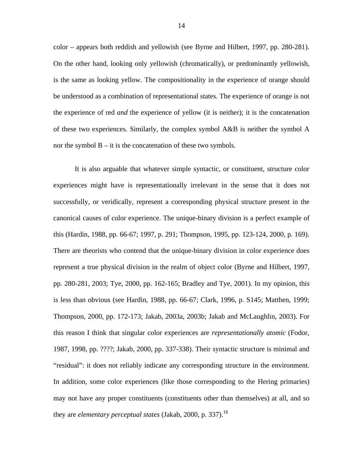color – appears both reddish and yellowish (see Byrne and Hilbert, 1997, pp. 280-281). On the other hand, looking only yellowish (chromatically), or predominantly yellowish, is the same as looking yellow. The compositionality in the experience of orange should be understood as a combination of representational states. The experience of orange is not the experience of red *and* the experience of yellow (it is neither); it is the concatenation of these two experiences. Similarly, the complex symbol A&B is neither the symbol A nor the symbol  $B - it$  is the concatenation of these two symbols.

It is also arguable that whatever simple syntactic, or constituent, structure color experiences might have is representationally irrelevant in the sense that it does not successfully, or veridically, represent a corresponding physical structure present in the canonical causes of color experience. The unique-binary division is a perfect example of this (Hardin, 1988, pp. 66-67; 1997, p. 291; Thompson, 1995, pp. 123-124, 2000, p. 169). There are theorists who contend that the unique-binary division in color experience does represent a true physical division in the realm of object color (Byrne and Hilbert, 1997, pp. 280-281, 2003; Tye, 2000, pp. 162-165; Bradley and Tye, 2001). In my opinion, this is less than obvious (see Hardin, 1988, pp. 66-67; Clark, 1996, p. S145; Matthen, 1999; Thompson, 2000, pp. 172-173; Jakab, 2003a, 2003b; Jakab and McLaughlin, 2003). For this reason I think that singular color experiences are *representationally atomic* (Fodor, 1987, 1998, pp. ????; Jakab, 2000, pp. 337-338). Their syntactic structure is minimal and "residual": it does not reliably indicate any corresponding structure in the environment. In addition, some color experiences (like those corresponding to the Hering primaries) may not have any proper constituents (constituents other than themselves) at all, and so they are *elementary perceptual states* (Jakab, 2000, p. 337).<sup>18</sup>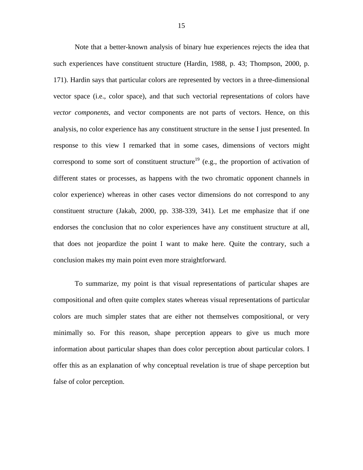Note that a better-known analysis of binary hue experiences rejects the idea that such experiences have constituent structure (Hardin, 1988, p. 43; Thompson, 2000, p. 171). Hardin says that particular colors are represented by vectors in a three-dimensional vector space (i.e., color space), and that such vectorial representations of colors have *vector components*, and vector components are not parts of vectors. Hence, on this analysis, no color experience has any constituent structure in the sense I just presented. In response to this view I remarked that in some cases, dimensions of vectors might correspond to some sort of constituent structure<sup>19</sup> (e.g., the proportion of activation of different states or processes, as happens with the two chromatic opponent channels in color experience) whereas in other cases vector dimensions do not correspond to any constituent structure (Jakab, 2000, pp. 338-339, 341). Let me emphasize that if one endorses the conclusion that no color experiences have any constituent structure at all, that does not jeopardize the point I want to make here. Quite the contrary, such a conclusion makes my main point even more straightforward.

To summarize, my point is that visual representations of particular shapes are compositional and often quite complex states whereas visual representations of particular colors are much simpler states that are either not themselves compositional, or very minimally so. For this reason, shape perception appears to give us much more information about particular shapes than does color perception about particular colors. I offer this as an explanation of why conceptual revelation is true of shape perception but false of color perception.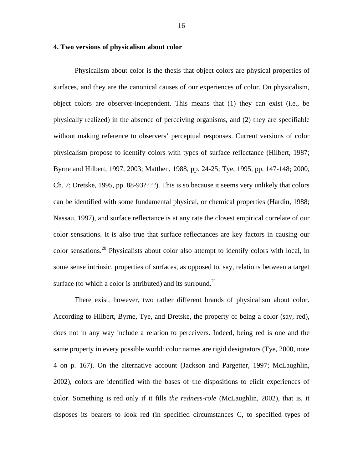## **4. Two versions of physicalism about color**

Physicalism about color is the thesis that object colors are physical properties of surfaces, and they are the canonical causes of our experiences of color. On physicalism, object colors are observer-independent. This means that (1) they can exist (i.e., be physically realized) in the absence of perceiving organisms, and (2) they are specifiable without making reference to observers' perceptual responses. Current versions of color physicalism propose to identify colors with types of surface reflectance (Hilbert, 1987; Byrne and Hilbert, 1997, 2003; Matthen, 1988, pp. 24-25; Tye, 1995, pp. 147-148; 2000, Ch. 7; Dretske, 1995, pp. 88-93????). This is so because it seems very unlikely that colors can be identified with some fundamental physical, or chemical properties (Hardin, 1988; Nassau, 1997), and surface reflectance is at any rate the closest empirical correlate of our color sensations. It is also true that surface reflectances are key factors in causing our color sensations.<sup>20</sup> Physicalists about color also attempt to identify colors with local, in some sense intrinsic, properties of surfaces, as opposed to, say, relations between a target surface (to which a color is attributed) and its surround.<sup>21</sup>

There exist, however, two rather different brands of physicalism about color. According to Hilbert, Byrne, Tye, and Dretske, the property of being a color (say, red), does not in any way include a relation to perceivers. Indeed, being red is one and the same property in every possible world: color names are rigid designators (Tye, 2000, note 4 on p. 167). On the alternative account (Jackson and Pargetter, 1997; McLaughlin, 2002), colors are identified with the bases of the dispositions to elicit experiences of color. Something is red only if it fills *the redness-role* (McLaughlin, 2002), that is, it disposes its bearers to look red (in specified circumstances C, to specified types of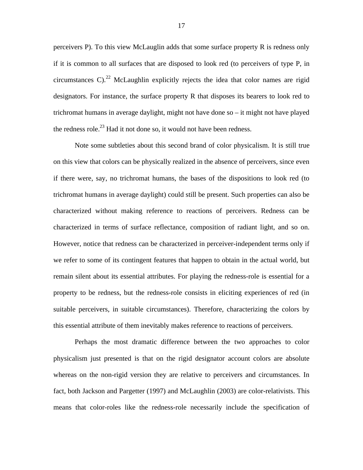perceivers P). To this view McLauglin adds that some surface property R is redness only if it is common to all surfaces that are disposed to look red (to perceivers of type P, in circumstances  $C$ ).<sup>22</sup> McLaughlin explicitly rejects the idea that color names are rigid designators. For instance, the surface property R that disposes its bearers to look red to trichromat humans in average daylight, might not have done so – it might not have played the redness role.<sup>23</sup> Had it not done so, it would not have been redness.

Note some subtleties about this second brand of color physicalism. It is still true on this view that colors can be physically realized in the absence of perceivers, since even if there were, say, no trichromat humans, the bases of the dispositions to look red (to trichromat humans in average daylight) could still be present. Such properties can also be characterized without making reference to reactions of perceivers. Redness can be characterized in terms of surface reflectance, composition of radiant light, and so on. However, notice that redness can be characterized in perceiver-independent terms only if we refer to some of its contingent features that happen to obtain in the actual world, but remain silent about its essential attributes. For playing the redness-role is essential for a property to be redness, but the redness-role consists in eliciting experiences of red (in suitable perceivers, in suitable circumstances). Therefore, characterizing the colors by this essential attribute of them inevitably makes reference to reactions of perceivers.

Perhaps the most dramatic difference between the two approaches to color physicalism just presented is that on the rigid designator account colors are absolute whereas on the non-rigid version they are relative to perceivers and circumstances. In fact, both Jackson and Pargetter (1997) and McLaughlin (2003) are color-relativists. This means that color-roles like the redness-role necessarily include the specification of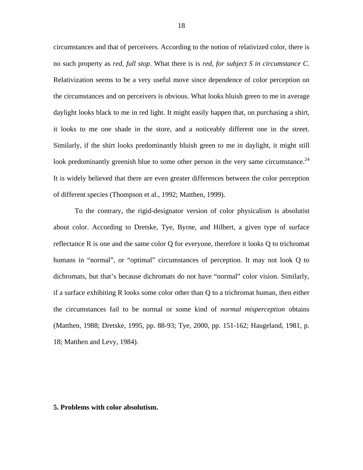circumstances and that of perceivers. According to the notion of relativized color, there is no such property as *red, full stop*. What there is is *red, for subject S in circumstance C*. Relativization seems to be a very useful move since dependence of color perception on the circumstances and on perceivers is obvious. What looks bluish green to me in average daylight looks black to me in red light. It might easily happen that, on purchasing a shirt, it looks to me one shade in the store, and a noticeably different one in the street. Similarly, if the shirt looks predominantly bluish green to me in daylight, it might still look predominantly greenish blue to some other person in the very same circumstance.<sup>24</sup> It is widely believed that there are even greater differences between the color perception of different species (Thompson et al., 1992; Matthen, 1999).

To the contrary, the rigid-designator version of color physicalism is absolutist about color. According to Dretske, Tye, Byrne, and Hilbert, a given type of surface reflectance R is one and the same color Q for everyone, therefore it looks Q to trichromat humans in "normal", or "optimal" circumstances of perception. It may not look Q to dichromats, but that's because dichromats do not have "normal" color vision. Similarly, if a surface exhibiting R looks some color other than Q to a trichromat human, then either the circumstances fail to be normal or some kind of *normal misperception* obtains (Matthen, 1988; Dretske, 1995, pp. 88-93; Tye, 2000, pp. 151-162; Haugeland, 1981, p. 18; Matthen and Levy, 1984).

#### **5. Problems with color absolutism.**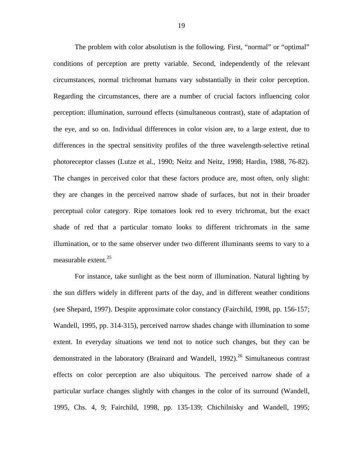The problem with color absolutism is the following. First, "normal" or "optimal" conditions of perception are pretty variable. Second, independently of the relevant circumstances, normal trichromat humans vary substantially in their color perception. Regarding the circumstances, there are a number of crucial factors influencing color perception: illumination, surround effects (simultaneous contrast), state of adaptation of the eye, and so on. Individual differences in color vision are, to a large extent, due to differences in the spectral sensitivity profiles of the three wavelength-selective retinal photoreceptor classes (Lutze et al., 1990; Neitz and Neitz, 1998; Hardin, 1988, 76-82). The changes in perceived color that these factors produce are, most often, only slight: they are changes in the perceived narrow shade of surfaces, but not in their broader perceptual color category. Ripe tomatoes look red to every trichromat, but the exact shade of red that a particular tomato looks to different trichromats in the same illumination, or to the same observer under two different illuminants seems to vary to a measurable extent. $^{25}$ 

For instance, take sunlight as the best norm of illumination. Natural lighting by the sun differs widely in different parts of the day, and in different weather conditions (see Shepard, 1997). Despite approximate color constancy (Fairchild, 1998, pp. 156-157; Wandell, 1995, pp. 314-315), perceived narrow shades change with illumination to some extent. In everyday situations we tend not to notice such changes, but they can be demonstrated in the laboratory (Brainard and Wandell, 1992).<sup>26</sup> Simultaneous contrast effects on color perception are also ubiquitous. The perceived narrow shade of a particular surface changes slightly with changes in the color of its surround (Wandell, 1995, Chs. 4, 9; Fairchild, 1998, pp. 135-139; Chichilnisky and Wandell, 1995;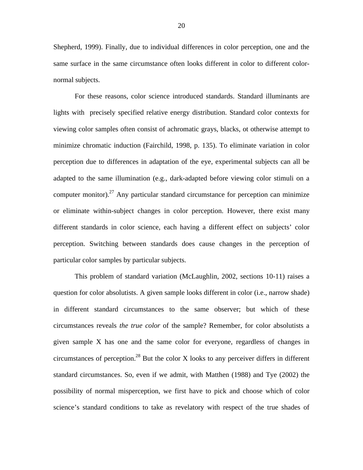Shepherd, 1999). Finally, due to individual differences in color perception, one and the same surface in the same circumstance often looks different in color to different colornormal subjects.

For these reasons, color science introduced standards. Standard illuminants are lights with precisely specified relative energy distribution. Standard color contexts for viewing color samples often consist of achromatic grays, blacks, ot otherwise attempt to minimize chromatic induction (Fairchild, 1998, p. 135). To eliminate variation in color perception due to differences in adaptation of the eye, experimental subjects can all be adapted to the same illumination (e.g., dark-adapted before viewing color stimuli on a computer monitor).<sup>27</sup> Any particular standard circumstance for perception can minimize or eliminate within-subject changes in color perception. However, there exist many different standards in color science, each having a different effect on subjects' color perception. Switching between standards does cause changes in the perception of particular color samples by particular subjects.

This problem of standard variation (McLaughlin, 2002, sections 10-11) raises a question for color absolutists. A given sample looks different in color (i.e., narrow shade) in different standard circumstances to the same observer; but which of these circumstances reveals *the true color* of the sample? Remember, for color absolutists a given sample X has one and the same color for everyone, regardless of changes in circumstances of perception.<sup>28</sup> But the color X looks to any perceiver differs in different standard circumstances. So, even if we admit, with Matthen (1988) and Tye (2002) the possibility of normal misperception, we first have to pick and choose which of color science's standard conditions to take as revelatory with respect of the true shades of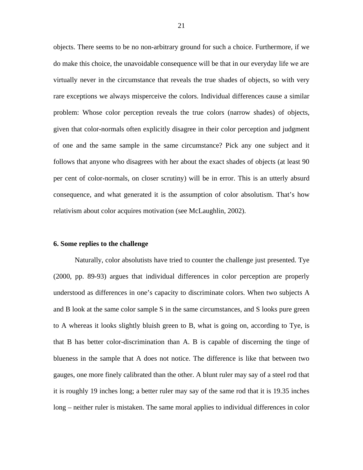objects. There seems to be no non-arbitrary ground for such a choice. Furthermore, if we do make this choice, the unavoidable consequence will be that in our everyday life we are virtually never in the circumstance that reveals the true shades of objects, so with very rare exceptions we always misperceive the colors. Individual differences cause a similar problem: Whose color perception reveals the true colors (narrow shades) of objects, given that color-normals often explicitly disagree in their color perception and judgment of one and the same sample in the same circumstance? Pick any one subject and it follows that anyone who disagrees with her about the exact shades of objects (at least 90 per cent of color-normals, on closer scrutiny) will be in error. This is an utterly absurd consequence, and what generated it is the assumption of color absolutism. That's how relativism about color acquires motivation (see McLaughlin, 2002).

### **6. Some replies to the challenge**

Naturally, color absolutists have tried to counter the challenge just presented. Tye (2000, pp. 89-93) argues that individual differences in color perception are properly understood as differences in one's capacity to discriminate colors. When two subjects A and B look at the same color sample S in the same circumstances, and S looks pure green to A whereas it looks slightly bluish green to B, what is going on, according to Tye, is that B has better color-discrimination than A. B is capable of discerning the tinge of blueness in the sample that A does not notice. The difference is like that between two gauges, one more finely calibrated than the other. A blunt ruler may say of a steel rod that it is roughly 19 inches long; a better ruler may say of the same rod that it is 19.35 inches long – neither ruler is mistaken. The same moral applies to individual differences in color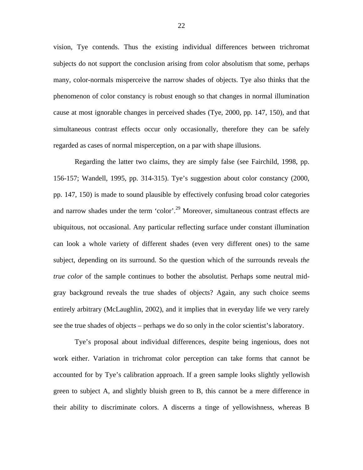vision, Tye contends. Thus the existing individual differences between trichromat subjects do not support the conclusion arising from color absolutism that some, perhaps many, color-normals misperceive the narrow shades of objects. Tye also thinks that the phenomenon of color constancy is robust enough so that changes in normal illumination cause at most ignorable changes in perceived shades (Tye, 2000, pp. 147, 150), and that simultaneous contrast effects occur only occasionally, therefore they can be safely regarded as cases of normal misperception, on a par with shape illusions.

Regarding the latter two claims, they are simply false (see Fairchild, 1998, pp. 156-157; Wandell, 1995, pp. 314-315). Tye's suggestion about color constancy (2000, pp. 147, 150) is made to sound plausible by effectively confusing broad color categories and narrow shades under the term 'color'.<sup>29</sup> Moreover, simultaneous contrast effects are ubiquitous, not occasional. Any particular reflecting surface under constant illumination can look a whole variety of different shades (even very different ones) to the same subject, depending on its surround. So the question which of the surrounds reveals *the true color* of the sample continues to bother the absolutist. Perhaps some neutral midgray background reveals the true shades of objects? Again, any such choice seems entirely arbitrary (McLaughlin, 2002), and it implies that in everyday life we very rarely see the true shades of objects – perhaps we do so only in the color scientist's laboratory.

Tye's proposal about individual differences, despite being ingenious, does not work either. Variation in trichromat color perception can take forms that cannot be accounted for by Tye's calibration approach. If a green sample looks slightly yellowish green to subject A, and slightly bluish green to B, this cannot be a mere difference in their ability to discriminate colors. A discerns a tinge of yellowishness, whereas B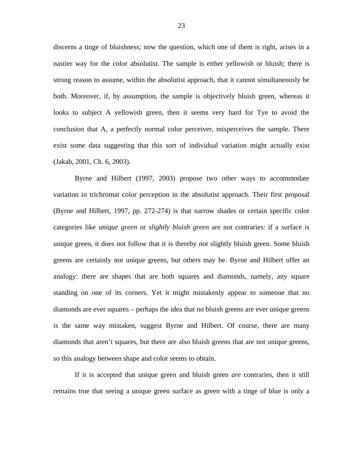discerns a tinge of bluishness; now the question, which one of them is right, arises in a nastier way for the color absolutist. The sample is either yellowish or bluish; there is strong reason to assume, within the absolutist approach, that it cannot simultaneously be both. Moreover, if, by assumption, the sample is objectively bluish green, whereas it looks to subject A yellowish green, then it seems very hard for Tye to avoid the conclusion that A, a perfectly normal color perceiver, misperceives the sample. There exist some data suggesting that this sort of individual variation might actually exist (Jakab, 2001, Ch. 6, 2003).

Byrne and Hilbert (1997, 2003) propose two other ways to accommodate variation in trichromat color perception in the absolutist approach. Their first proposal (Byrne and Hilbert, 1997, pp. 272-274) is that narrow shades or certain specific color categories like *unique green* or *slightly bluish green* are not contraries: if a surface is unique green, it does not follow that it is thereby not slightly bluish green. Some bluish greens are certainly not unique greens, but others may be. Byrne and Hilbert offer an analogy: there are shapes that are both squares and diamonds, namely, any square standing on one of its corners. Yet it might mistakenly appear to someone that no diamonds are ever squares – perhaps the idea that no bluish greens are ever unique greens is the same way mistaken, suggest Byrne and Hilbert. Of course, there are many diamonds that aren't squares, but there are also bluish greens that are not unique greens, so this analogy between shape and color seems to obtain.

If it is accepted that unique green and bluish green *are* contraries, then it still remains true that seeing a unique green surface as green with a tinge of blue is only a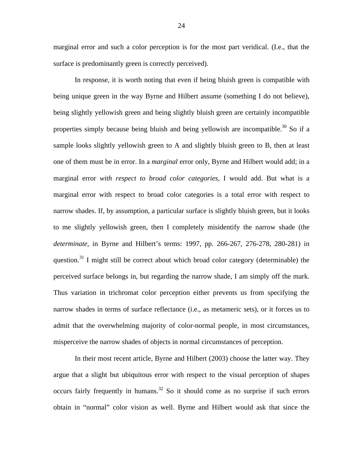marginal error and such a color perception is for the most part veridical. (I.e., that the surface is predominantly green is correctly perceived).

In response, it is worth noting that even if being bluish green is compatible with being unique green in the way Byrne and Hilbert assume (something I do not believe), being slightly yellowish green and being slightly bluish green are certainly incompatible properties simply because being bluish and being yellowish are incompatible. $30$  So if a sample looks slightly yellowish green to A and slightly bluish green to B, then at least one of them must be in error. In a *marginal* error only, Byrne and Hilbert would add; in a marginal error *with respect to broad color categories*, I would add. But what is a marginal error with respect to broad color categories is a total error with respect to narrow shades. If, by assumption, a particular surface is slightly bluish green, but it looks to me slightly yellowish green, then I completely misidentify the narrow shade (the *determinate*, in Byrne and Hilbert's terms: 1997, pp. 266-267, 276-278, 280-281) in question.<sup>31</sup> I might still be correct about which broad color category (determinable) the perceived surface belongs in, but regarding the narrow shade, I am simply off the mark. Thus variation in trichromat color perception either prevents us from specifying the narrow shades in terms of surface reflectance (i.e., as metameric sets), or it forces us to admit that the overwhelming majority of color-normal people, in most circumstances, misperceive the narrow shades of objects in normal circumstances of perception.

In their most recent article, Byrne and Hilbert (2003) choose the latter way. They argue that a slight but ubiquitous error with respect to the visual perception of shapes occurs fairly frequently in humans.<sup>32</sup> So it should come as no surprise if such errors obtain in "normal" color vision as well. Byrne and Hilbert would ask that since the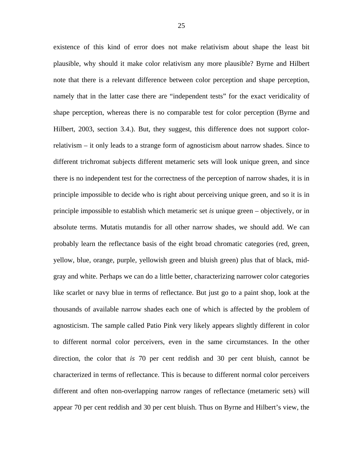existence of this kind of error does not make relativism about shape the least bit plausible, why should it make color relativism any more plausible? Byrne and Hilbert note that there is a relevant difference between color perception and shape perception, namely that in the latter case there are "independent tests" for the exact veridicality of shape perception, whereas there is no comparable test for color perception (Byrne and Hilbert, 2003, section 3.4.). But, they suggest, this difference does not support colorrelativism – it only leads to a strange form of agnosticism about narrow shades. Since to different trichromat subjects different metameric sets will look unique green, and since there is no independent test for the correctness of the perception of narrow shades, it is in principle impossible to decide who is right about perceiving unique green, and so it is in principle impossible to establish which metameric set *is* unique green – objectively, or in absolute terms. Mutatis mutandis for all other narrow shades, we should add. We can probably learn the reflectance basis of the eight broad chromatic categories (red, green, yellow, blue, orange, purple, yellowish green and bluish green) plus that of black, midgray and white. Perhaps we can do a little better, characterizing narrower color categories like scarlet or navy blue in terms of reflectance. But just go to a paint shop, look at the thousands of available narrow shades each one of which is affected by the problem of agnosticism. The sample called Patio Pink very likely appears slightly different in color to different normal color perceivers, even in the same circumstances. In the other direction, the color that *is* 70 per cent reddish and 30 per cent bluish, cannot be characterized in terms of reflectance. This is because to different normal color perceivers different and often non-overlapping narrow ranges of reflectance (metameric sets) will appear 70 per cent reddish and 30 per cent bluish. Thus on Byrne and Hilbert's view, the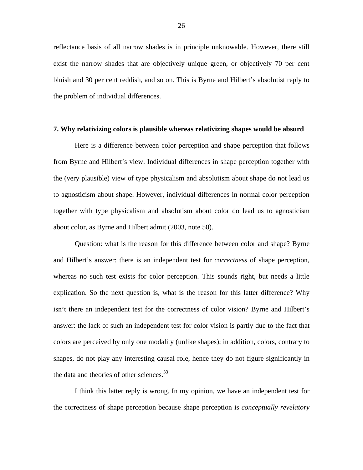reflectance basis of all narrow shades is in principle unknowable. However, there still exist the narrow shades that are objectively unique green, or objectively 70 per cent bluish and 30 per cent reddish, and so on. This is Byrne and Hilbert's absolutist reply to the problem of individual differences.

#### **7. Why relativizing colors is plausible whereas relativizing shapes would be absurd**

Here is a difference between color perception and shape perception that follows from Byrne and Hilbert's view. Individual differences in shape perception together with the (very plausible) view of type physicalism and absolutism about shape do not lead us to agnosticism about shape. However, individual differences in normal color perception together with type physicalism and absolutism about color do lead us to agnosticism about color, as Byrne and Hilbert admit (2003, note 50).

Question: what is the reason for this difference between color and shape? Byrne and Hilbert's answer: there is an independent test for *correctness* of shape perception, whereas no such test exists for color perception. This sounds right, but needs a little explication. So the next question is, what is the reason for this latter difference? Why isn't there an independent test for the correctness of color vision? Byrne and Hilbert's answer: the lack of such an independent test for color vision is partly due to the fact that colors are perceived by only one modality (unlike shapes); in addition, colors, contrary to shapes, do not play any interesting causal role, hence they do not figure significantly in the data and theories of other sciences.<sup>33</sup>

I think this latter reply is wrong. In my opinion, we have an independent test for the correctness of shape perception because shape perception is *conceptually revelatory*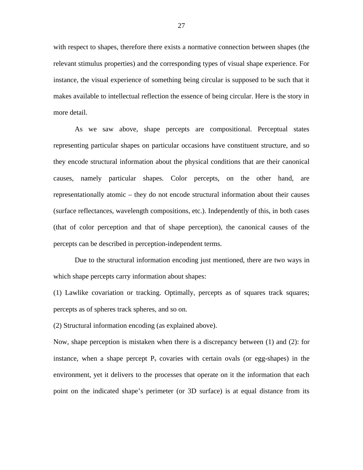with respect to shapes, therefore there exists a normative connection between shapes (the relevant stimulus properties) and the corresponding types of visual shape experience. For instance, the visual experience of something being circular is supposed to be such that it makes available to intellectual reflection the essence of being circular. Here is the story in more detail.

As we saw above, shape percepts are compositional. Perceptual states representing particular shapes on particular occasions have constituent structure, and so they encode structural information about the physical conditions that are their canonical causes, namely particular shapes. Color percepts, on the other hand, are representationally atomic – they do not encode structural information about their causes (surface reflectances, wavelength compositions, etc.). Independently of this, in both cases (that of color perception and that of shape perception), the canonical causes of the percepts can be described in perception-independent terms.

Due to the structural information encoding just mentioned, there are two ways in which shape percepts carry information about shapes:

(1) Lawlike covariation or tracking. Optimally, percepts as of squares track squares; percepts as of spheres track spheres, and so on.

(2) Structural information encoding (as explained above).

Now, shape perception is mistaken when there is a discrepancy between (1) and (2): for instance, when a shape percept  $P_s$  covaries with certain ovals (or egg-shapes) in the environment, yet it delivers to the processes that operate on it the information that each point on the indicated shape's perimeter (or 3D surface) is at equal distance from its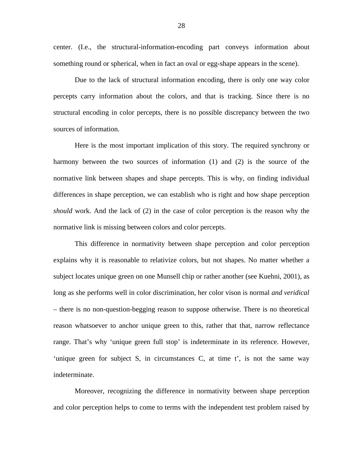center. (I.e., the structural-information-encoding part conveys information about something round or spherical, when in fact an oval or egg-shape appears in the scene).

Due to the lack of structural information encoding, there is only one way color percepts carry information about the colors, and that is tracking. Since there is no structural encoding in color percepts, there is no possible discrepancy between the two sources of information.

Here is the most important implication of this story. The required synchrony or harmony between the two sources of information (1) and (2) is the source of the normative link between shapes and shape percepts. This is why, on finding individual differences in shape perception, we can establish who is right and how shape perception *should* work. And the lack of (2) in the case of color perception is the reason why the normative link is missing between colors and color percepts.

This difference in normativity between shape perception and color perception explains why it is reasonable to relativize colors, but not shapes. No matter whether a subject locates unique green on one Munsell chip or rather another (see Kuehni, 2001), as long as she performs well in color discrimination, her color vison is normal *and veridical* – there is no non-question-begging reason to suppose otherwise. There is no theoretical reason whatsoever to anchor unique green to this, rather that that, narrow reflectance range. That's why 'unique green full stop' is indeterminate in its reference. However, 'unique green for subject S, in circumstances C, at time t', is not the same way indeterminate.

Moreover, recognizing the difference in normativity between shape perception and color perception helps to come to terms with the independent test problem raised by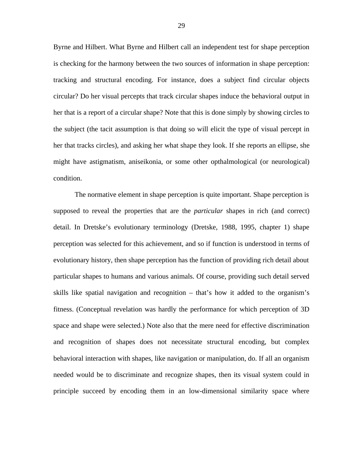Byrne and Hilbert. What Byrne and Hilbert call an independent test for shape perception is checking for the harmony between the two sources of information in shape perception: tracking and structural encoding. For instance, does a subject find circular objects circular? Do her visual percepts that track circular shapes induce the behavioral output in her that is a report of a circular shape? Note that this is done simply by showing circles to the subject (the tacit assumption is that doing so will elicit the type of visual percept in her that tracks circles), and asking her what shape they look. If she reports an ellipse, she might have astigmatism, aniseikonia, or some other opthalmological (or neurological) condition.

The normative element in shape perception is quite important. Shape perception is supposed to reveal the properties that are the *particular* shapes in rich (and correct) detail. In Dretske's evolutionary terminology (Dretske, 1988, 1995, chapter 1) shape perception was selected for this achievement, and so if function is understood in terms of evolutionary history, then shape perception has the function of providing rich detail about particular shapes to humans and various animals. Of course, providing such detail served skills like spatial navigation and recognition – that's how it added to the organism's fitness. (Conceptual revelation was hardly the performance for which perception of 3D space and shape were selected.) Note also that the mere need for effective discrimination and recognition of shapes does not necessitate structural encoding, but complex behavioral interaction with shapes, like navigation or manipulation, do. If all an organism needed would be to discriminate and recognize shapes, then its visual system could in principle succeed by encoding them in an low-dimensional similarity space where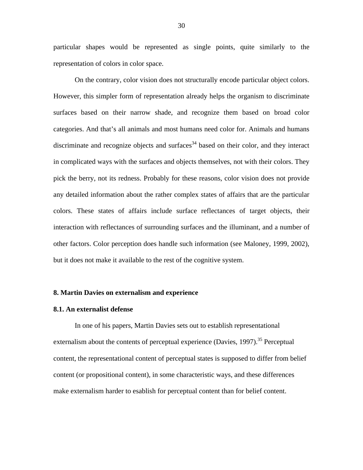particular shapes would be represented as single points, quite similarly to the representation of colors in color space.

On the contrary, color vision does not structurally encode particular object colors. However, this simpler form of representation already helps the organism to discriminate surfaces based on their narrow shade, and recognize them based on broad color categories. And that's all animals and most humans need color for. Animals and humans discriminate and recognize objects and surfaces<sup>34</sup> based on their color, and they interact in complicated ways with the surfaces and objects themselves, not with their colors. They pick the berry, not its redness. Probably for these reasons, color vision does not provide any detailed information about the rather complex states of affairs that are the particular colors. These states of affairs include surface reflectances of target objects, their interaction with reflectances of surrounding surfaces and the illuminant, and a number of other factors. Color perception does handle such information (see Maloney, 1999, 2002), but it does not make it available to the rest of the cognitive system.

#### **8. Martin Davies on externalism and experience**

#### **8.1. An externalist defense**

In one of his papers, Martin Davies sets out to establish representational externalism about the contents of perceptual experience (Davies,  $1997$ ).<sup>35</sup> Perceptual content, the representational content of perceptual states is supposed to differ from belief content (or propositional content), in some characteristic ways, and these differences make externalism harder to esablish for perceptual content than for belief content.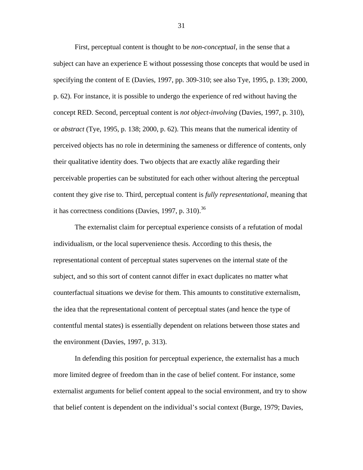First, perceptual content is thought to be *non-conceptual*, in the sense that a subject can have an experience E without possessing those concepts that would be used in specifying the content of E (Davies, 1997, pp. 309-310; see also Tye, 1995, p. 139; 2000, p. 62). For instance, it is possible to undergo the experience of red without having the concept RED. Second, perceptual content is *not object-involving* (Davies, 1997, p. 310), or *abstract* (Tye, 1995, p. 138; 2000, p. 62). This means that the numerical identity of perceived objects has no role in determining the sameness or difference of contents, only their qualitative identity does. Two objects that are exactly alike regarding their perceivable properties can be substituted for each other without altering the perceptual content they give rise to. Third, perceptual content is *fully representational*, meaning that it has correctness conditions (Davies, 1997, p. 310).<sup>36</sup>

The externalist claim for perceptual experience consists of a refutation of modal individualism, or the local supervenience thesis. According to this thesis, the representational content of perceptual states supervenes on the internal state of the subject, and so this sort of content cannot differ in exact duplicates no matter what counterfactual situations we devise for them. This amounts to constitutive externalism, the idea that the representational content of perceptual states (and hence the type of contentful mental states) is essentially dependent on relations between those states and the environment (Davies, 1997, p. 313).

In defending this position for perceptual experience, the externalist has a much more limited degree of freedom than in the case of belief content. For instance, some externalist arguments for belief content appeal to the social environment, and try to show that belief content is dependent on the individual's social context (Burge, 1979; Davies,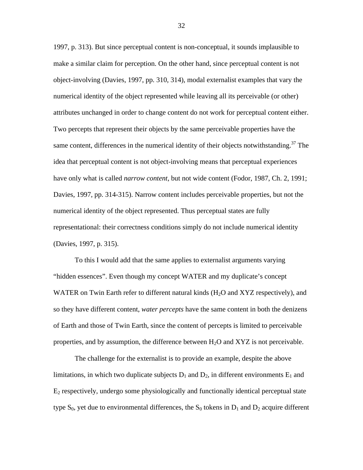1997, p. 313). But since perceptual content is non-conceptual, it sounds implausible to make a similar claim for perception. On the other hand, since perceptual content is not object-involving (Davies, 1997, pp. 310, 314), modal externalist examples that vary the numerical identity of the object represented while leaving all its perceivable (or other) attributes unchanged in order to change content do not work for perceptual content either. Two percepts that represent their objects by the same perceivable properties have the same content, differences in the numerical identity of their objects notwithstanding.<sup>37</sup> The idea that perceptual content is not object-involving means that perceptual experiences have only what is called *narrow content*, but not wide content (Fodor, 1987, Ch. 2, 1991; Davies, 1997, pp. 314-315). Narrow content includes perceivable properties, but not the numerical identity of the object represented. Thus perceptual states are fully representational: their correctness conditions simply do not include numerical identity (Davies, 1997, p. 315).

To this I would add that the same applies to externalist arguments varying "hidden essences". Even though my concept WATER and my duplicate's concept WATER on Twin Earth refer to different natural kinds  $(H<sub>2</sub>O$  and XYZ respectively), and so they have different content, *water percepts* have the same content in both the denizens of Earth and those of Twin Earth, since the content of percepts is limited to perceivable properties, and by assumption, the difference between  $H_2O$  and  $XYZ$  is not perceivable.

The challenge for the externalist is to provide an example, despite the above limitations, in which two duplicate subjects  $D_1$  and  $D_2$ , in different environments  $E_1$  and  $E_2$  respectively, undergo some physiologically and functionally identical perceptual state type  $S_0$ , yet due to environmental differences, the  $S_0$  tokens in  $D_1$  and  $D_2$  acquire different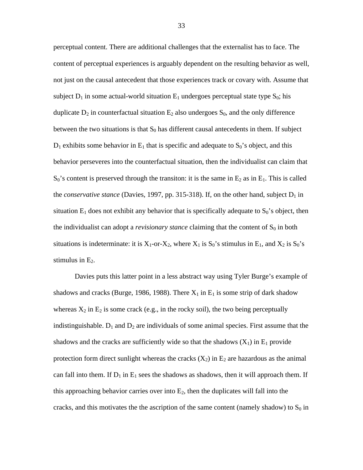perceptual content. There are additional challenges that the externalist has to face. The content of perceptual experiences is arguably dependent on the resulting behavior as well, not just on the causal antecedent that those experiences track or covary with. Assume that subject  $D_1$  in some actual-world situation  $E_1$  undergoes perceptual state type  $S_0$ ; his duplicate  $D_2$  in counterfactual situation  $E_2$  also undergoes  $S_0$ , and the only difference between the two situations is that  $S_0$  has different causal antecedents in them. If subject  $D_1$  exhibits some behavior in  $E_1$  that is specific and adequate to  $S_0$ 's object, and this behavior perseveres into the counterfactual situation, then the individualist can claim that  $S_0$ 's content is preserved through the transiton: it is the same in  $E_2$  as in  $E_1$ . This is called the *conservative stance* (Davies, 1997, pp. 315-318). If, on the other hand, subject D<sub>1</sub> in situation  $E_1$  does not exhibit any behavior that is specifically adequate to  $S_0$ 's object, then the individualist can adopt a *revisionary stance* claiming that the content of  $S_0$  in both situations is indeterminate: it is  $X_1$ -or- $X_2$ , where  $X_1$  is  $S_0$ 's stimulus in  $E_1$ , and  $X_2$  is  $S_0$ 's stimulus in  $E_2$ .

Davies puts this latter point in a less abstract way using Tyler Burge's example of shadows and cracks (Burge, 1986, 1988). There  $X_1$  in  $E_1$  is some strip of dark shadow whereas  $X_2$  in  $E_2$  is some crack (e.g., in the rocky soil), the two being perceptually indistinguishable.  $D_1$  and  $D_2$  are individuals of some animal species. First assume that the shadows and the cracks are sufficiently wide so that the shadows  $(X_1)$  in  $E_1$  provide protection form direct sunlight whereas the cracks  $(X_2)$  in  $E_2$  are hazardous as the animal can fall into them. If  $D_1$  in  $E_1$  sees the shadows as shadows, then it will approach them. If this approaching behavior carries over into  $E_2$ , then the duplicates will fall into the cracks, and this motivates the the ascription of the same content (namely shadow) to  $S_0$  in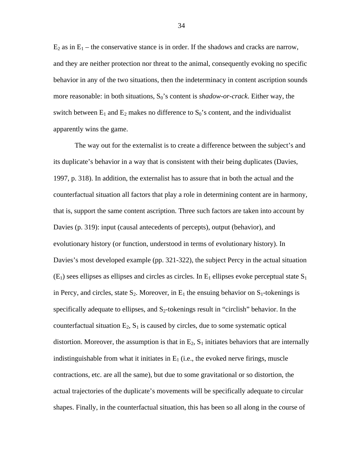$E_2$  as in  $E_1$  – the conservative stance is in order. If the shadows and cracks are narrow, and they are neither protection nor threat to the animal, consequently evoking no specific behavior in any of the two situations, then the indeterminacy in content ascription sounds more reasonable: in both situations, S<sub>0</sub>'s content is *shadow-or-crack*. Either way, the switch between  $E_1$  and  $E_2$  makes no difference to  $S_0$ 's content, and the individualist apparently wins the game.

The way out for the externalist is to create a difference between the subject's and its duplicate's behavior in a way that is consistent with their being duplicates (Davies, 1997, p. 318). In addition, the externalist has to assure that in both the actual and the counterfactual situation all factors that play a role in determining content are in harmony, that is, support the same content ascription. Three such factors are taken into account by Davies (p. 319): input (causal antecedents of percepts), output (behavior), and evolutionary history (or function, understood in terms of evolutionary history). In Davies's most developed example (pp. 321-322), the subject Percy in the actual situation  $(E_1)$  sees ellipses as ellipses and circles as circles. In  $E_1$  ellipses evoke perceptual state  $S_1$ in Percy, and circles, state  $S_2$ . Moreover, in  $E_1$  the ensuing behavior on  $S_1$ -tokenings is specifically adequate to ellipses, and  $S_2$ -tokenings result in "circlish" behavior. In the counterfactual situation  $E_2$ ,  $S_1$  is caused by circles, due to some systematic optical distortion. Moreover, the assumption is that in  $E_2$ ,  $S_1$  initiates behaviors that are internally indistinguishable from what it initiates in  $E_1$  (i.e., the evoked nerve firings, muscle contractions, etc. are all the same), but due to some gravitational or so distortion, the actual trajectories of the duplicate's movements will be specifically adequate to circular shapes. Finally, in the counterfactual situation, this has been so all along in the course of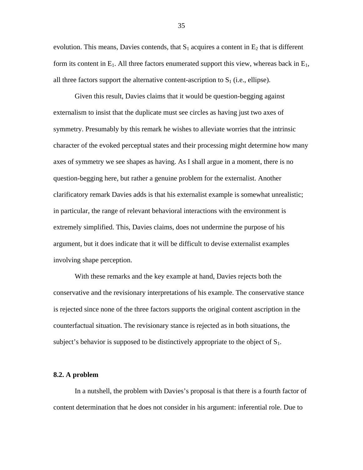evolution. This means, Davies contends, that  $S_1$  acquires a content in  $E_2$  that is different form its content in  $E_1$ . All three factors enumerated support this view, whereas back in  $E_1$ , all three factors support the alternative content-ascription to  $S_1$  (i.e., ellipse).

Given this result, Davies claims that it would be question-begging against externalism to insist that the duplicate must see circles as having just two axes of symmetry. Presumably by this remark he wishes to alleviate worries that the intrinsic character of the evoked perceptual states and their processing might determine how many axes of symmetry we see shapes as having. As I shall argue in a moment, there is no question-begging here, but rather a genuine problem for the externalist. Another clarificatory remark Davies adds is that his externalist example is somewhat unrealistic; in particular, the range of relevant behavioral interactions with the environment is extremely simplified. This, Davies claims, does not undermine the purpose of his argument, but it does indicate that it will be difficult to devise externalist examples involving shape perception.

With these remarks and the key example at hand, Davies rejects both the conservative and the revisionary interpretations of his example. The conservative stance is rejected since none of the three factors supports the original content ascription in the counterfactual situation. The revisionary stance is rejected as in both situations, the subject's behavior is supposed to be distinctively appropriate to the object of  $S_1$ .

#### **8.2. A problem**

In a nutshell, the problem with Davies's proposal is that there is a fourth factor of content determination that he does not consider in his argument: inferential role. Due to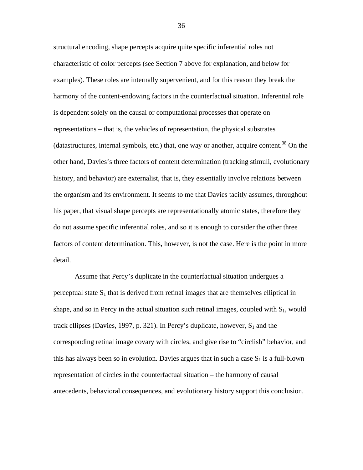structural encoding, shape percepts acquire quite specific inferential roles not characteristic of color percepts (see Section 7 above for explanation, and below for examples). These roles are internally supervenient, and for this reason they break the harmony of the content-endowing factors in the counterfactual situation. Inferential role is dependent solely on the causal or computational processes that operate on representations – that is, the vehicles of representation, the physical substrates (datastructures, internal symbols, etc.) that, one way or another, acquire content.<sup>38</sup> On the other hand, Davies's three factors of content determination (tracking stimuli, evolutionary history, and behavior) are externalist, that is, they essentially involve relations between the organism and its environment. It seems to me that Davies tacitly assumes, throughout his paper, that visual shape percepts are representationally atomic states, therefore they do not assume specific inferential roles, and so it is enough to consider the other three factors of content determination. This, however, is not the case. Here is the point in more detail.

Assume that Percy's duplicate in the counterfactual situation undergues a perceptual state  $S_1$  that is derived from retinal images that are themselves elliptical in shape, and so in Percy in the actual situation such retinal images, coupled with  $S_1$ , would track ellipses (Davies, 1997, p. 321). In Percy's duplicate, however,  $S_1$  and the corresponding retinal image covary with circles, and give rise to "circlish" behavior, and this has always been so in evolution. Davies argues that in such a case  $S_1$  is a full-blown representation of circles in the counterfactual situation – the harmony of causal antecedents, behavioral consequences, and evolutionary history support this conclusion.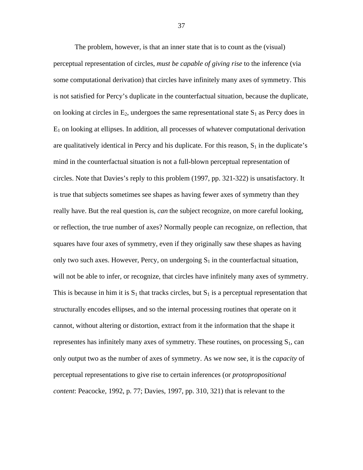The problem, however, is that an inner state that is to count as the (visual) perceptual representation of circles, *must be capable of giving rise* to the inference (via some computational derivation) that circles have infinitely many axes of symmetry. This is not satisfied for Percy's duplicate in the counterfactual situation, because the duplicate, on looking at circles in  $E_2$ , undergoes the same representational state  $S_1$  as Percy does in  $E_1$  on looking at ellipses. In addition, all processes of whatever computational derivation are qualitatively identical in Percy and his duplicate. For this reason,  $S_1$  in the duplicate's mind in the counterfactual situation is not a full-blown perceptual representation of circles. Note that Davies's reply to this problem (1997, pp. 321-322) is unsatisfactory. It is true that subjects sometimes see shapes as having fewer axes of symmetry than they really have. But the real question is, *can* the subject recognize, on more careful looking, or reflection, the true number of axes? Normally people can recognize, on reflection, that squares have four axes of symmetry, even if they originally saw these shapes as having only two such axes. However, Percy, on undergoing  $S_1$  in the counterfactual situation, will not be able to infer, or recognize, that circles have infinitely many axes of symmetry. This is because in him it is  $S_1$  that tracks circles, but  $S_1$  is a perceptual representation that structurally encodes ellipses, and so the internal processing routines that operate on it cannot, without altering or distortion, extract from it the information that the shape it representes has infinitely many axes of symmetry. These routines, on processing  $S_1$ , can only output two as the number of axes of symmetry. As we now see, it is the *capacity* of perceptual representations to give rise to certain inferences (or *protopropositional content*: Peacocke, 1992, p. 77; Davies, 1997, pp. 310, 321) that is relevant to the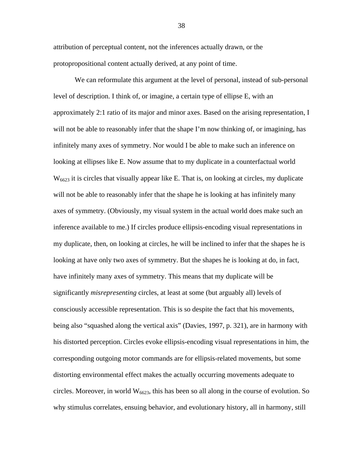attribution of perceptual content, not the inferences actually drawn, or the protopropositional content actually derived, at any point of time.

We can reformulate this argument at the level of personal, instead of sub-personal level of description. I think of, or imagine, a certain type of ellipse E, with an approximately 2:1 ratio of its major and minor axes. Based on the arising representation, I will not be able to reasonably infer that the shape I'm now thinking of, or imagining, has infinitely many axes of symmetry. Nor would I be able to make such an inference on looking at ellipses like E. Now assume that to my duplicate in a counterfactual world  $W<sub>6623</sub>$  it is circles that visually appear like E. That is, on looking at circles, my duplicate will not be able to reasonably infer that the shape he is looking at has infinitely many axes of symmetry. (Obviously, my visual system in the actual world does make such an inference available to me.) If circles produce ellipsis-encoding visual representations in my duplicate, then, on looking at circles, he will be inclined to infer that the shapes he is looking at have only two axes of symmetry. But the shapes he is looking at do, in fact, have infinitely many axes of symmetry. This means that my duplicate will be significantly *misrepresenting* circles, at least at some (but arguably all) levels of consciously accessible representation. This is so despite the fact that his movements, being also "squashed along the vertical axis" (Davies, 1997, p. 321), are in harmony with his distorted perception. Circles evoke ellipsis-encoding visual representations in him, the corresponding outgoing motor commands are for ellipsis-related movements, but some distorting environmental effect makes the actually occurring movements adequate to circles. Moreover, in world  $W<sub>6623</sub>$ , this has been so all along in the course of evolution. So why stimulus correlates, ensuing behavior, and evolutionary history, all in harmony, still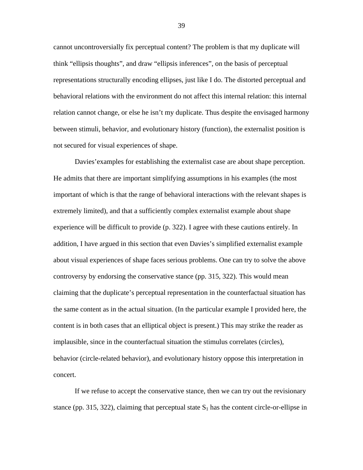cannot uncontroversially fix perceptual content? The problem is that my duplicate will think "ellipsis thoughts", and draw "ellipsis inferences", on the basis of perceptual representations structurally encoding ellipses, just like I do. The distorted perceptual and behavioral relations with the environment do not affect this internal relation: this internal relation cannot change, or else he isn't my duplicate. Thus despite the envisaged harmony between stimuli, behavior, and evolutionary history (function), the externalist position is not secured for visual experiences of shape.

Davies'examples for establishing the externalist case are about shape perception. He admits that there are important simplifying assumptions in his examples (the most important of which is that the range of behavioral interactions with the relevant shapes is extremely limited), and that a sufficiently complex externalist example about shape experience will be difficult to provide (p. 322). I agree with these cautions entirely. In addition, I have argued in this section that even Davies's simplified externalist example about visual experiences of shape faces serious problems. One can try to solve the above controversy by endorsing the conservative stance (pp. 315, 322). This would mean claiming that the duplicate's perceptual representation in the counterfactual situation has the same content as in the actual situation. (In the particular example I provided here, the content is in both cases that an elliptical object is present.) This may strike the reader as implausible, since in the counterfactual situation the stimulus correlates (circles), behavior (circle-related behavior), and evolutionary history oppose this interpretation in concert.

If we refuse to accept the conservative stance, then we can try out the revisionary stance (pp. 315, 322), claiming that perceptual state  $S_1$  has the content circle-or-ellipse in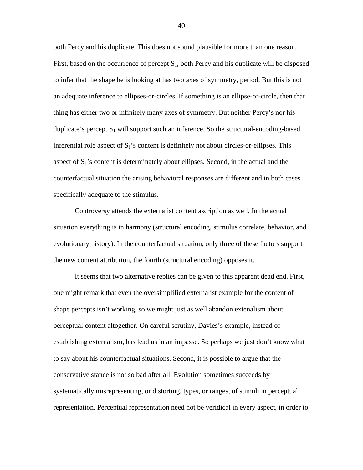both Percy and his duplicate. This does not sound plausible for more than one reason. First, based on the occurrence of percept  $S_1$ , both Percy and his duplicate will be disposed to infer that the shape he is looking at has two axes of symmetry, period. But this is not an adequate inference to ellipses-or-circles. If something is an ellipse-or-circle, then that thing has either two or infinitely many axes of symmetry. But neither Percy's nor his duplicate's percept  $S_1$  will support such an inference. So the structural-encoding-based inferential role aspect of  $S_1$ 's content is definitely not about circles-or-ellipses. This aspect of  $S_1$ 's content is determinately about ellipses. Second, in the actual and the counterfactual situation the arising behavioral responses are different and in both cases specifically adequate to the stimulus.

Controversy attends the externalist content ascription as well. In the actual situation everything is in harmony (structural encoding, stimulus correlate, behavior, and evolutionary history). In the counterfactual situation, only three of these factors support the new content attribution, the fourth (structural encoding) opposes it.

It seems that two alternative replies can be given to this apparent dead end. First, one might remark that even the oversimplified externalist example for the content of shape percepts isn't working, so we might just as well abandon extenalism about perceptual content altogether. On careful scrutiny, Davies's example, instead of establishing externalism, has lead us in an impasse. So perhaps we just don't know what to say about his counterfactual situations. Second, it is possible to argue that the conservative stance is not so bad after all. Evolution sometimes succeeds by systematically misrepresenting, or distorting, types, or ranges, of stimuli in perceptual representation. Perceptual representation need not be veridical in every aspect, in order to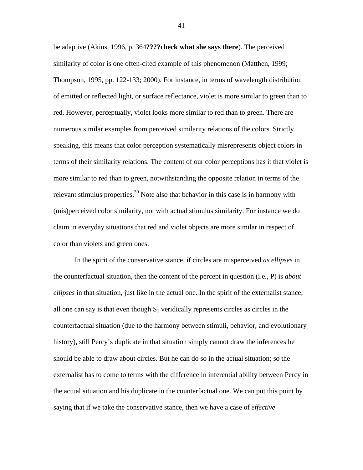be adaptive (Akins, 1996, p. 364**????check what she says there**). The perceived similarity of color is one often-cited example of this phenomenon (Matthen, 1999; Thompson, 1995, pp. 122-133; 2000). For instance, in terms of wavelength distribution of emitted or reflected light, or surface reflectance, violet is more similar to green than to red. However, perceptually, violet looks more similar to red than to green. There are numerous similar examples from perceived similarity relations of the colors. Strictly speaking, this means that color perception systematically misrepresents object colors in terms of their similarity relations. The content of our color perceptions has it that violet is more similar to red than to green, notwithstanding the opposite relation in terms of the relevant stimulus properties.<sup>39</sup> Note also that behavior in this case is in harmony with (mis)perceived color similarity, not with actual stimulus similarity. For instance we do claim in everyday situations that red and violet objects are more similar in respect of color than violets and green ones.

In the spirit of the conservative stance, if circles are misperceived *as ellipses* in the counterfactual situation, then the content of the percept in question (i.e., P) is *about ellipses* in that situation, just like in the actual one. In the spirit of the externalist stance, all one can say is that even though  $S_1$  veridically represents circles as circles in the counterfactual situation (due to the harmony between stimuli, behavior, and evolutionary history), still Percy's duplicate in that situation simply cannot draw the inferences he should be able to draw about circles. But he can do so in the actual situation; so the externalist has to come to terms with the difference in inferential ability between Percy in the actual situation and his duplicate in the counterfactual one. We can put this point by saying that if we take the conservative stance, then we have a case of *effective*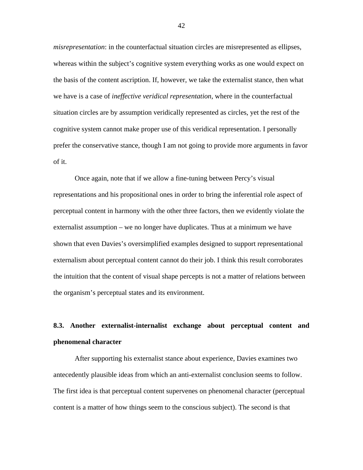*misrepresentation*: in the counterfactual situation circles are misrepresented as ellipses, whereas within the subject's cognitive system everything works as one would expect on the basis of the content ascription. If, however, we take the externalist stance, then what we have is a case of *ineffective veridical representation*, where in the counterfactual situation circles are by assumption veridically represented as circles, yet the rest of the cognitive system cannot make proper use of this veridical representation. I personally prefer the conservative stance, though I am not going to provide more arguments in favor of it.

Once again, note that if we allow a fine-tuning between Percy's visual representations and his propositional ones in order to bring the inferential role aspect of perceptual content in harmony with the other three factors, then we evidently violate the externalist assumption – we no longer have duplicates. Thus at a minimum we have shown that even Davies's oversimplified examples designed to support representational externalism about perceptual content cannot do their job. I think this result corroborates the intuition that the content of visual shape percepts is not a matter of relations between the organism's perceptual states and its environment.

# **8.3. Another externalist-internalist exchange about perceptual content and phenomenal character**

After supporting his externalist stance about experience, Davies examines two antecedently plausible ideas from which an anti-externalist conclusion seems to follow. The first idea is that perceptual content supervenes on phenomenal character (perceptual content is a matter of how things seem to the conscious subject). The second is that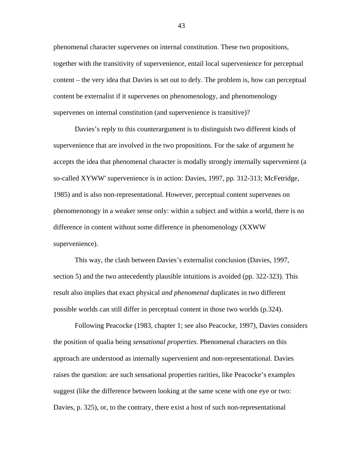phenomenal character supervenes on internal constitution. These two propositions, together with the transitivity of supervenience, entail local supervenience for perceptual content – the very idea that Davies is set out to defy. The problem is, how can perceptual content be externalist if it supervenes on phenomenology, and phenomenology supervenes on internal constitution (and supervenience is transitive)?

Davies's reply to this counterargument is to distinguish two different kinds of supervenience that are involved in the two propositions. For the sake of argument he accepts the idea that phenomenal character is modally strongly internally supervenient (a so-called XYWW' supervenience is in action: Davies, 1997, pp. 312-313; McFetridge, 1985) and is also non-representational. However, perceptual content supervenes on phenomenonogy in a weaker sense only: within a subject and within a world, there is no difference in content without some difference in phenomenology (XXWW supervenience).

This way, the clash between Davies's externalist conclusion (Davies, 1997, section 5) and the two antecedently plausible intuitions is avoided (pp. 322-323). This result also implies that exact physical *and phenomenal* duplicates in two different possible worlds can still differ in perceptual content in those two worlds (p.324).

Following Peacocke (1983, chapter 1; see also Peacocke, 1997), Davies considers the position of qualia being *sensational properties*. Phenomenal characters on this approach are understood as internally supervenient and non-representational. Davies raises the question: are such sensational properties rarities, like Peacocke's examples suggest (like the difference between looking at the same scene with one eye or two: Davies, p. 325), or, to the contrary, there exist a host of such non-representational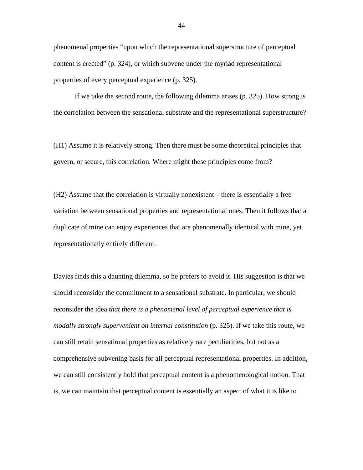phenomenal properties "upon which the representational superstructure of perceptual content is erected" (p. 324), or which subvene under the myriad representational properties of every perceptual experience (p. 325).

If we take the second route, the following dilemma arises (p. 325). How strong is the correlation between the sensational substrate and the representational superstructure?

(H1) Assume it is relatively strong. Then there must be some theoretical principles that govern, or secure, this correlation. Where might these principles come from?

(H2) Assume that the correlation is virtually nonexistent – there is essentially a free variation between sensational properties and representational ones. Then it follows that a duplicate of mine can enjoy experiences that are phenomenally identical with mine, yet representationally entirely different.

Davies finds this a daunting dilemma, so he prefers to avoid it. His suggestion is that we should reconsider the commitment to a sensational substrate. In particular, we should reconsider the idea *that there is a phenomenal level of perceptual experience that is modally strongly supervenient on internal constitution* (p. 325). If we take this route, we can still retain sensational properties as relatively rare peculiarities, but not as a comprehensive subvening basis for all perceptual representational properties. In addition, we can still consistently hold that perceptual content is a phenomenological notion. That is, we can maintain that perceptual content is essentially an aspect of what it is like to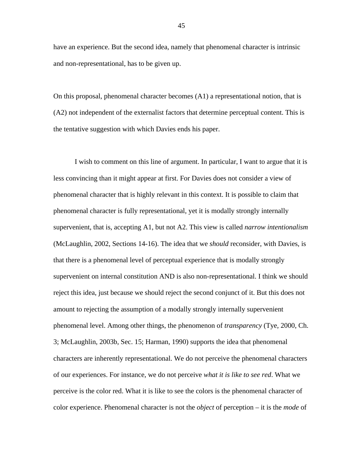have an experience. But the second idea, namely that phenomenal character is intrinsic and non-representational, has to be given up.

On this proposal, phenomenal character becomes (A1) a representational notion, that is (A2) not independent of the externalist factors that determine perceptual content. This is the tentative suggestion with which Davies ends his paper.

I wish to comment on this line of argument. In particular, I want to argue that it is less convincing than it might appear at first. For Davies does not consider a view of phenomenal character that is highly relevant in this context. It is possible to claim that phenomenal character is fully representational, yet it is modally strongly internally supervenient, that is, accepting A1, but not A2. This view is called *narrow intentionalism* (McLaughlin, 2002, Sections 14-16). The idea that we *should* reconsider, with Davies, is that there is a phenomenal level of perceptual experience that is modally strongly supervenient on internal constitution AND is also non-representational. I think we should reject this idea, just because we should reject the second conjunct of it. But this does not amount to rejecting the assumption of a modally strongly internally supervenient phenomenal level. Among other things, the phenomenon of *transparency* (Tye, 2000, Ch. 3; McLaughlin, 2003b, Sec. 15; Harman, 1990) supports the idea that phenomenal characters are inherently representational. We do not perceive the phenomenal characters of our experiences. For instance, we do not perceive *what it is like to see red*. What we perceive is the color red. What it is like to see the colors is the phenomenal character of color experience. Phenomenal character is not the *object* of perception – it is the *mode* of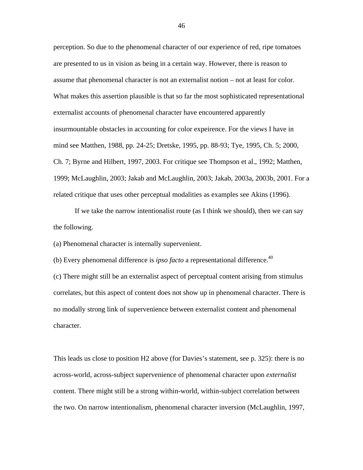perception. So due to the phenomenal character of our experience of red, ripe tomatoes are presented to us in vision as being in a certain way. However, there is reason to assume that phenomenal character is not an externalist notion – not at least for color. What makes this assertion plausible is that so far the most sophisticated representational externalist accounts of phenomenal character have encountered apparently insurmountable obstacles in accounting for color expeirence. For the views I have in mind see Matthen, 1988, pp. 24-25; Dretske, 1995, pp. 88-93; Tye, 1995, Ch. 5; 2000, Ch. 7; Byrne and Hilbert, 1997, 2003. For critique see Thompson et al., 1992; Matthen, 1999; McLaughlin, 2003; Jakab and McLaughlin, 2003; Jakab, 2003a, 2003b, 2001. For a related critique that uses other perceptual modalities as examples see Akins (1996).

If we take the narrow intentionalist route (as I think we should), then we can say the following.

(a) Phenomenal character is internally supervenient.

(b) Every phenomenal difference is *ipso facto* a representational difference.<sup>40</sup>

(c) There might still be an externalist aspect of perceptual content arising from stimulus correlates, but this aspect of content does not show up in phenomenal character. There is no modally strong link of supervenience between externalist content and phenomenal character.

This leads us close to position H2 above (for Davies's statement, see p. 325): there is no across-world, across-subject supervenience of phenomenal character upon *externalist* content. There might still be a strong within-world, within-subject correlation between the two. On narrow intentionalism, phenomenal character inversion (McLaughlin, 1997,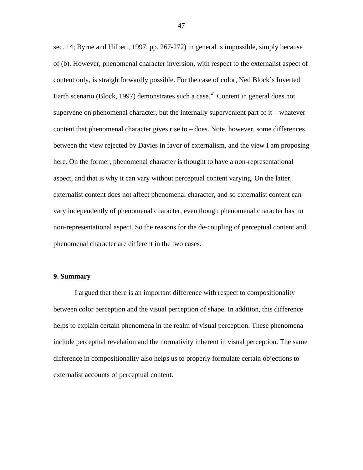sec. 14; Byrne and Hilbert, 1997, pp. 267-272) in general is impossible, simply because of (b). However, phenomenal character inversion, with respect to the externalist aspect of content only, is straightforwardly possible. For the case of color, Ned Block's Inverted Earth scenario (Block, 1997) demonstrates such a case.<sup>41</sup> Content in general does not supervene on phenomenal character, but the internally supervenient part of it – whatever content that phenomenal character gives rise to – does. Note, however, some differences between the view rejected by Davies in favor of externalism, and the view I am proposing here. On the former, phenomenal character is thought to have a non-representational aspect, and that is why it can vary without perceptual content varying. On the latter, externalist content does not affect phenomenal character, and so externalist content can vary independently of phenomenal character, even though phenomenal character has no non-representational aspect. So the reasons for the de-coupling of perceptual content and phenomenal character are different in the two cases.

## **9. Summary**

I argued that there is an important difference with respect to compositionality between color perception and the visual perception of shape. In addition, this difference helps to explain certain phenomena in the realm of visual perception. These phenomena include perceptual revelation and the normativity inherent in visual perception. The same difference in compositionality also helps us to properly formulate certain objections to externalist accounts of perceptual content.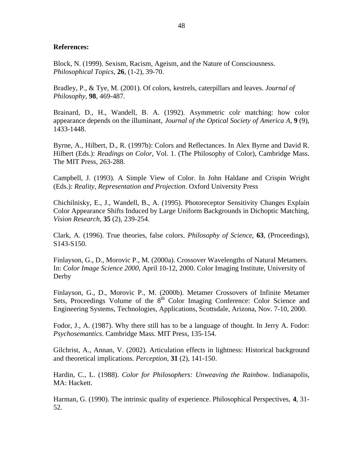## **References:**

Block, N. (1999). Sexism, Racism, Ageism, and the Nature of Consciousness. *Philosophical Topics*, **26**, (1-2), 39-70.

Bradley, P., & Tye, M. (2001). Of colors, kestrels, caterpillars and leaves. *Journal of Philosophy*, **98**, 469-487.

Brainard, D., H., Wandell, B. A. (1992). Asymmetric colr matching: how color appearance depends on the illuminant, *Journal of the Optical Society of America A*, **9** (9), 1433-1448.

Byrne, A., Hilbert, D., R. (1997b): Colors and Reflectances. In Alex Byrne and David R. Hilbert (Eds.): *Readings on Color*, Vol. 1. (The Philosophy of Color), Cambridge Mass. The MIT Press, 263-288.

Campbell, J. (1993). A Simple View of Color. In John Haldane and Crispin Wright (Eds.): *Reality, Representation and Projection*. Oxford University Press

Chichilnisky, E., J., Wandell, B., A. (1995). Photoreceptor Sensitivity Changes Explain Color Appearance Shifts Induced by Large Uniform Backgrounds in Dichoptic Matching, *Vision Research*, **35** (2), 239-254.

Clark, A. (1996). True theories, false colors. *Philosophy of Science*, **63**, (Proceedings), S143-S150.

Finlayson, G., D., Morovic P., M. (2000a). Crossover Wavelengths of Natural Metamers. In: *Color Image Science 2000*, April 10-12, 2000. Color Imaging Institute, University of Derby

Finlayson, G., D., Morovic P., M. (2000b). Metamer Crossovers of Infinite Metamer Sets, Proceedings Volume of the  $8<sup>th</sup>$  Color Imaging Conference: Color Science and Engineering Systems, Technologies, Applications, Scottsdale, Arizona, Nov. 7-10, 2000.

Fodor, J., A. (1987). Why there still has to be a language of thought. In Jerry A. Fodor: *Psychosemantics*. Cambridge Mass. MIT Press, 135-154.

Gilchrist, A., Annan, V. (2002). Articulation effects in lightness: Historical background and theoretical implications. *Perception*, **31** (2), 141-150.

Hardin, C., L. (1988). *Color for Philosophers: Unweaving the Rainbow*. Indianapolis, MA: Hackett.

Harman, G. (1990). The intrinsic quality of experience. Philosophical Perspectives, **4**, 31- 52.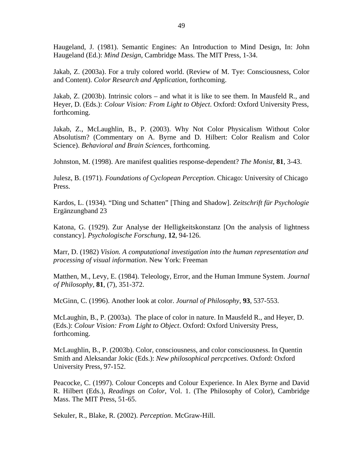Haugeland, J. (1981). Semantic Engines: An Introduction to Mind Design, In: John Haugeland (Ed.): *Mind Design*, Cambridge Mass. The MIT Press, 1-34.

Jakab, Z. (2003a). For a truly colored world. (Review of M. Tye: Consciousness, Color and Content). *Color Research and Application*, forthcoming.

Jakab, Z. (2003b). Intrinsic colors – and what it is like to see them. In Mausfeld R., and Heyer, D. (Eds.): *Colour Vision: From Light to Object*. Oxford: Oxford University Press, forthcoming.

Jakab, Z., McLaughlin, B., P. (2003). Why Not Color Physicalism Without Color Absolutism? (Commentary on A. Byrne and D. Hilbert: Color Realism and Color Science). *Behavioral and Brain Sciences*, forthcoming.

Johnston, M. (1998). Are manifest qualities response-dependent? *The Monist*, **81**, 3-43.

Julesz, B. (1971). *Foundations of Cyclopean Perception*. Chicago: University of Chicago Press.

Kardos, L. (1934). "Ding und Schatten" [Thing and Shadow]. *Zeitschrift für Psychologie* Ergänzungband 23

Katona, G. (1929). Zur Analyse der Helligkeitskonstanz [On the analysis of lightness constancy]. *Psychologische Forschung*, **12**, 94-126.

Marr, D. (1982) *Vision. A computational investigation into the human representation and processing of visual information*. New York: Freeman

Matthen, M., Levy, E. (1984). Teleology, Error, and the Human Immune System. *Journal of Philosophy*, **81**, (7), 351-372.

McGinn, C. (1996). Another look at color. *Journal of Philosophy*, **93**, 537-553.

McLaughin, B., P. (2003a). The place of color in nature. In Mausfeld R., and Heyer, D. (Eds.): *Colour Vision: From Light to Object*. Oxford: Oxford University Press, forthcoming.

McLaughlin, B., P. (2003b). Color, consciousness, and color consciousness. In Quentin Smith and Aleksandar Jokic (Eds.): *New philosophical percpcetives.* Oxford: Oxford University Press, 97-152.

Peacocke, C. (1997). Colour Concepts and Colour Experience. In Alex Byrne and David R. Hilbert (Eds.), *Readings on Color*, Vol. 1. (The Philosophy of Color), Cambridge Mass. The MIT Press, 51-65.

Sekuler, R., Blake, R. (2002). *Perception*. McGraw-Hill.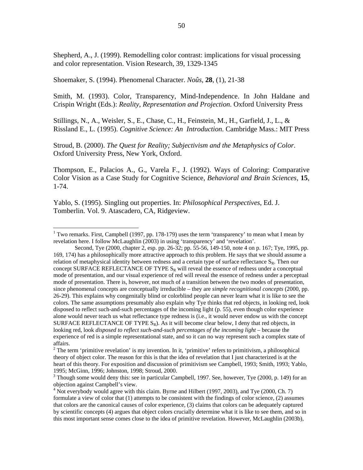50

Shepherd, A., J. (1999). Remodelling color contrast: implications for visual processing and color representation. Vision Research, 39, 1329-1345

Shoemaker, S. (1994). Phenomenal Character. *Noûs*, **28**, (1), 21-38

Smith, M. (1993). Color, Transparency, Mind-Independence. In John Haldane and Crispin Wright (Eds.): *Reality, Representation and Projection*. Oxford University Press

Stillings, N., A., Weisler, S., E., Chase, C., H., Feinstein, M., H., Garfield, J., L., & Rissland E., L. (1995). *Cognitive Science: An Introduction*. Cambridge Mass.: MIT Press

Stroud, B. (2000). *The Quest for Reality; Subjectivism and the Metaphysics of Color*. Oxford University Press, New York, Oxford.

Thompson, E., Palacios A., G., Varela F., J. (1992). Ways of Coloring: Comparative Color Vision as a Case Study for Cognitive Science, *Behavioral and Brain Sciences*, **15**, 1-74.

Yablo, S. (1995). Singling out properties. In: *Philosophical Perspectives*, Ed. J. Tomberlin. Vol. 9. Atascadero, CA, Ridgeview.

 $\overline{a}$ 

<sup>&</sup>lt;sup>1</sup> Two remarks. First, Campbell (1997, pp. 178-179) uses the term 'transparency' to mean what I mean by revelation here. I follow McLaughlin (2003) in using 'transparency' and 'revelation'.

Second, Tye (2000, chapter 2, esp. pp. 26-32; pp. 55-56, 149-150, note 4 on p. 167; Tye, 1995, pp. 169, 174) has a philosophically more attractive approach to this problem. He says that we should assume a relation of metaphysical identity between redness and a certain type of surface reflectance  $S_R$ . Then our concept SURFACE REFLECTANCE OF TYPE  $S_R$  will reveal the essence of redness under a conceptual mode of presentation, and our visual experience of red will reveal the essence of redness under a perceptual mode of presentation. There is, however, not much of a transition between the two modes of presentation, since phenomenal concepts are conceptually irreducible – they are *simple recognitional concepts* (2000, pp. 26-29). This explains why congenitally blind or colorblind people can never learn what it is like to see the colors. The same assumptions presumably also explain why Tye thinks that red objects, in looking red, look disposed to reflect such-and-such percentages of the incoming light (p. 55), even though color experience alone would never teach us what reflectance type redness is (i.e., it would never endow us with the concept SURFACE REFLECTANCE OF TYPE  $S_R$ ). As it will become clear below, I deny that red objects, in looking red, look *disposed to reflect such-and-such percentages of the incoming light* – because the experience of red is a simple representational state, and so it can no way represent such a complex state of affairs.

<sup>&</sup>lt;sup>2</sup> The term 'primitive revelation' is my invention. In it, 'primitive' refers to primitivism, a philosophical theory of object color. The reason for this is that the idea of revelation that I just characterized is at the heart of this theory. For exposition and discussion of primitivism see Campbell, 1993; Smith, 1993; Yablo, 1995; McGinn, 1996; Johnston, 1998; Stroud, 2000.

 $3$  Though some would deny this: see in particular Campbell, 1997. See, however, Tye (2000, p. 149) for an objection against Campbell's view.

<sup>&</sup>lt;sup>4</sup> Not everybody would agree with this claim. Byrne and Hilbert (1997, 2003), and Tye (2000, Ch. 7) formulate a view of color that (1) attempts to be consistent with the findings of color science, (2) assumes that colors are the canonical causes of color experience, (3) claims that colors can be adequately captured by scientific concepts (4) argues that object colors crucially determine what it is like to see them, and so in this most important sense comes close to the idea of primitive revelation. However, McLaughlin (2003b),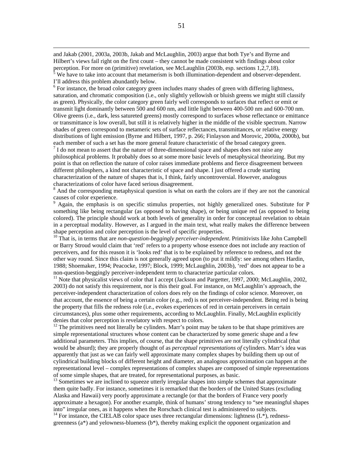and Jakab (2001, 2003a, 2003b, Jakab and McLaughlin, 2003) argue that both Tye's and Byrne and Hilbert's views fail right on the first count – they cannot be made consistent with findings about color perception. For more on (primitive) revelation, see McLaughlin (2003b, esp. sections 1,2,7,18).

 $\overline{a}$ 

 $\frac{5}{3}$  We have to take into account that metamerism is both illumination-dependent and observer-dependent. I'll address this problem abundantly below.

<sup>6</sup> For instance, the broad color category green includes many shades of green with differing lightness, saturation, and chromatic composition (i.e., only slightly yellowish or bluish greens we might still classify as green). Physically, the color category green fairly well corresponds to surfaces that reflect or emit or transmit light dominantly between 500 and 600 nm, and little light between 400-500 nm and 600-700 nm. Olive greens (i.e., dark, less satureted greens) mostly correspond to surfaces whose reflectance or emittance or transmittance is low overall, but still it is relatively higher in the middle of the visible spectrum. Narrow shades of green correspond to metameric sets of surface reflectances, transmittances, or relative energy distributions of light emission (Byrne and Hilbert, 1997, p. 266; Finlayson and Morovic, 2000a, 2000b), but each member of such a set has the more general feature characteristic of the broad category green.

 $<sup>7</sup>$  I do not mean to assert that the nature of three-dimensional space and shapes does not raise any</sup> philosophical problems. It probably does so at some more basic levels of metaphysical theorizing. But my point is that on reflection the nature of color raises immediate problems and fierce disagreement between different philosphers, a kind not characteristic of space and shape. I just offered a crude starting characterization of the nature of shapes that is, I think, fairly uncontroversial. However, analogous characterizations of color have faced serious disagreement.

<sup>8</sup> And the corresponding metaphysical question is what on earth the colors are if they are not the canonical causes of color experience.

<sup>9</sup> Again, the emphasis is on specific stimulus properties, not highly generalized ones. Substitute for P something like being rectangular (as opposed to having shape), or being unique red (as opposed to being colored). The principle should work at both levels of generality in order for conceptual revelation to obtain in a perceptual modality. However, as I argued in the main text, what really makes the difference between shape perception and color perception is the level of specific properties.

<sup>10</sup> That is, in terms that are *non-question-beggingly perceiver-independent*. Primitivists like John Campbell or Barry Stroud would claim that 'red' refers to a property whose essence does not include any reaction of perceivers, and for this reason it is 'looks red' that is to be explained by reference to redness, and not the other way round. Since this claim is not generally agreed upon (to put it mildly: see among others Hardin, 1988; Shoemaker, 1994; Peacocke, 1997; Block, 1999; McLaughlin, 2003b), 'red' does not appear to be a non-question-beggingly perceiver-independent term to characterize particular colors.

<sup>11</sup> Note that physicalist views of color that I accept (Jackson and Pargetter, 1997, 2000; McLaughlin, 2002, 2003) do not satisfy this requirement, nor is this their goal. For instance, on McLaughlin's approach, the perceiver-independent characterization of colors does rely on the findings of color science. Moreover, on that account, the essence of being a certain color (e.g., red) is not perceiver-independent. Being red is being the property that fills the redness role (i.e., evokes experiences of red in certain perceivers in certain circumstances), plus some other requirements, according to McLaughlin. Finally, McLaughlin explicitly denies that color perception is revelatory with respect to colors.

<sup>12</sup> The primitives need not literally be cylinders. Marr's point may be taken to be that shape primitives are simple representational structures whose content can be characterized by some generic shape and a few additional parameters. This implies, of course, that the shape primitives are not literally cylindrical (that would be absurd); they are properly thought of as *perceptual representations of* cylinders. Marr's idea was apparently that just as we can fairly well approximate many complex shapes by building them up out of cylindrical building blocks of different height and diameter, an analogous approximation can happen at the representational level – complex representations of complex shapes are composed of simple representations of some simple shapes, that are treated, for representational purposes, as basic.

<sup>13</sup> Sometimes we are inclined to squeeze utterly irregular shapes into simple schemes that approximate them quite badly. For instance, sometimes it is remarked that the borders of the United States (excluding Alaska and Hawaii) very poorly approximate a rectangle (or that the borders of France very poorly approximate a hexagon). For another example, think of humans' strong tendency to "see meaningful shapes into" irregular ones, as it happens when the Rorschach clinical test is administered to subjects.

<sup>14</sup> For instance, the CIELAB color space uses three rectangular dimensions: lightness  $(L^*)$ , rednessgreenness (a\*) and yelowness-blueness (b\*), thereby making explicit the opponent organization and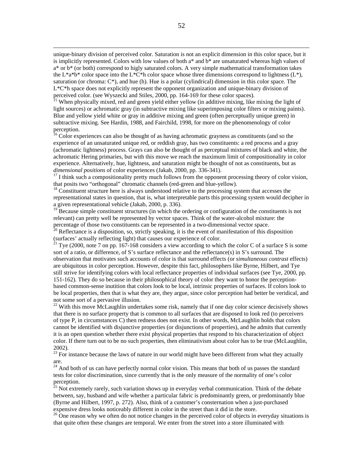unique-binary division of perceived color. Saturation is not an explicit dimension in this color space, but it is implicitly represented. Colors with low values of both a\* and b\* are unsaturated whereas high values of  $a^*$  or  $b^*$  (or both) correspond to higly saturated colors. A very simple mathematical transformation takes the L\*a\*b\* color space into the L\*C\*h color space whose three dimensions correspond to lightness (L\*), saturation (or chroma:  $C^*$ ), and hue (h). Hue is a polar (cylindrical) dimension in this color space. The  $L^*C^*$ h space does not explicitly represent the opponent organization and unique-binary division of perceived color. (see Wyszecki and Stiles, 2000, pp. 164-169 for these color spaces).

 $\overline{a}$ 

<sup>15</sup> When physically mixed, red and green yield either yellow (in additive mixing, like mixing the light of light sources) or achromatic gray (in subtractive mixing like superimposing color filters or mixing paints). Blue and yellow yield white or gray in additive mixing and green (often perceptually unique green) in subtractive mixing. See Hardin, 1988, and Fairchild, 1998, for more on the phenomenology of color perception.

 $16$  Color experiences can also be thought of as having achromatic grayness as constituents (and so the experience of an unsaturated unique red, or reddish gray, has two constituents: a red process and a gray (achromatic lightness) process. Grays can also be thought of as perceptual mixtures of black and white, the achromatic Hering primaries, but with this move we reach the maximum limit of compositionality in color experience. Alternatively, hue, lightness, and saturation might be thought of not as constituents, but as *dimensional positions* of color experiences (Jakab, 2000, pp. 336-341).

 $17$  I think such a compositionality pretty much follows from the opponent processing theory of color vision, that posits two "orthogonal" chromatic channels (red-green and blue-yellow).

<sup>18</sup> Constituent structure here is always understood relative to the processing system that accesses the representational states in question, that is, what interpretable parts this processing system would decipher in a given representational vehicle (Jakab, 2000, p. 336).

<sup>19</sup> Because simple constituent structures (in which the ordering or configuration of the constituents is not relevant) can pretty well be represented by vector spaces. Think of the water-alcohol mixture: the percentage of those two constituents can be represented in a two-dimensional vector space.

 $^{20}$  Reflectance is a disposition, so, strictly speaking, it is the event of manifestation of this disposition (surfaces' actually reflecting light) that causes our experience of color.

<sup>21</sup> Tye (2000, note 7 on pp. 167-168 considers a view according to which the color C of a surface S is some sort of a ratio, or difference, of S's surface reflectance and the reflectance(s) in S's surround. The observation that motivates such accounts of color is that surround effects (or *simultaneous contrast* effects) are ubiquitous in color perception. However, despite this fact, philosophers like Byrne, Hilbert, and Tye still strive for identifying colors with local reflectance properties of individual surfaces (see Tye, 2000, pp. 151-162). They do so because in their philosophical theory of color they want to honor the perceptionbased common-sense inutition that colors look to be local, intrinsic properties of surfaces. If colors look to be local properties, then that is what they are, they argue, since color perception had better be veridical, and not some sort of a pervasive illusion.

 $22$  With this move McLaughlin undertakes some risk, namely that if one day color science decisively shows that there is no surface property that is common to all surfaces that are disposed to look red (to perceivers of type P, in circumstances C) then redness does not exist. In other words, McLaughlin holds that colors cannot be identified with disjunctive properties (or disjunctions of properties), and he admits that currently it is an open question whether there exist physical properties that respond to his characterization of object color. If there turn out to be no such properties, then eliminativism about color has to be true (McLaughlin, 2002).

 $23$  For instance because the laws of nature in our world might have been different from what they actually are.

<sup>24</sup> And both of us can have perfectly normal color vision. This means that both of us passes the standard tests for color discrimination, since currently that is the only measure of the normality of one's color perception.

 $25$  Not extremely rarely, such variation shows up in everyday verbal communication. Think of the debate between, say, husband and wife whether a particular fabric is predominantly green, or predominantly blue (Byrne and Hilbert, 1997, p. 272). Also, think of a customer's consternation when a just-purchased expensive dress looks noticeably different in color in the street than it did in the store.

 $^{26}$  One reason why we often do not notice changes in the perceived color of objects in everyday situations is that quite often these changes are temporal. We enter from the street into a store illuminated with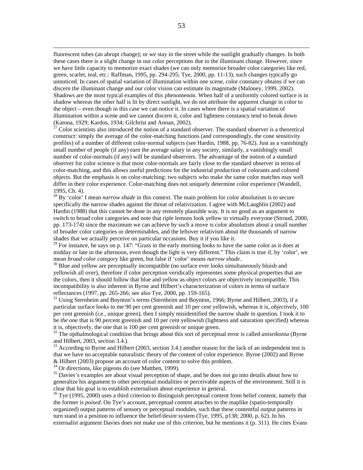fluorescent tubes (an abrupt change); or we stay in the street while the sunlight gradually changes. In both these cases there is a slight change in our color perceptions due to the illuminant change. However, since we have little capacity to memorize exact shades (we can only memorize broader color categories like red, green, scarlet, teal, etc.: Raffman, 1995, pp. 294-295; Tye, 2000, pp. 11-13), such changes typically go unnoticed. In cases of spatial variation of illumination within one scene, color constancy obtains if we can discern the illuminant change and our color vision can estimate its magnitude (Maloney, 1999, 2002). Shadows are the most typical examples of this phenomenon. When half of a uniformly colored surface is in shadow whereas the other half is lit by direct sunlight, we do not attribute the apparent change in color to the object – even though in this case we can notice it. In cases where there is a spatial variation of illumination within a scene and we cannot discern it, color and lightness constancy tend to break down (Katona, 1929; Kardos, 1934; Gilchrist and Annan, 2002).<br> $^{27}$  Color scientists also introduced the notion of a standard.

<sup>27</sup> Color scientists also introduced the notion of a standard observer. The standard observer is a theoretical construct: simply the average of the color-matching functions (and correspondingly, the cone sensitivity profiles) of a number of different color-normal subjects (see Hardin, 1988, pp. 76-82). Just as a vanishingly small number of people (if any) earn the average salary in any society, similarly, a vanishingly small number of color-normals (if any) will be standard observers. The advantage of the notion of a standard observer for color science is that most color-normals are fairly close to the standard observer in terms of color-matching, and this allows useful predictions for the industrial production of colorants and colored objects. But the emphasis is on color-matching: two subjects who make the same color matches may well differ in their color experience. Color-matching does not uniquely determine color experience (Wandell, 1995, Ch. 4).

<sup>28</sup> By 'color' I mean *narrow shade* in this context. The main problem for color absolutism is to secure specifically the narrow shades against the threat of relativization. I agree with McLaughlin (2002) and Hardin (1988) that this cannot be done in any remotely plausible way. It is no good as an argument to switch to broad color categories and note that riple lemons look yellow to virtually everyone (Stroud, 2000, pp. 173-174) since the maximum we can achieve by such a move is color absolutism about a small number of broader color categories or determinables, and the leftover relativism about the thousands of narrow shades that we actually perceive on particular occasions. Buy it if you like it.

 $29$  For instance, he says on p. 147: "Grass in the early morning looks to have the same color as it does at midday or late in the afternoon, even though the light is very different." This claim is true if, by 'color', we mean *broad color category* like green, but false if 'color' means *narrow shade*.

<sup>30</sup> Blue and yellow are perceptually incompatible (no surface ever looks simultaneously bluish and yellowish all over), therefore if color perception veridically representes some physical properties that are the colors, then it should follow that blue and yellow as object colors are objectively incompatible. This incompatibility is also inherent in Byrne and Hilbert's characterization of colors in terms of surface reflectances (1997, pp. 265-266; see also Tye, 2000, pp. 159-165).

 $31$  Using Sternheim and Boynton's terms (Sternheim and Boynton, 1966; Byrne and Hilbert, 2003), if a particular surface looks to me 90 per cent greenish and 10 per cent yellowish, whereas it is, *objectively*, 100 per cent greenish (i.e., unique green), then I simply misidentified the narrow shade in question. I took it to be *the one* that is 90 percent greenish and 10 per cent yellowish (lightness and saturation specified) whereas it is, objectively, the one that is 100 per cent greenish or unique green.

<sup>32</sup> The opthalmological condition that brings about this sort of perceptual error is called *aniseikonia* (Byrne and Hilbert, 2003, section 3.4.).

<sup>33</sup> According to Byrne and Hilbert (2003, section 3.4.) another reason for the lack of an independent test is that we have no acceptable naturalistic theory of the content of color experience. Byrne (2002) and Byrne & Hilbert (2003) propose an account of color content to solve this problem.

<sup>34</sup> Or directions, like pigeons do (see Matthen, 1999).

 $\overline{a}$ 

<sup>35</sup> Davies's examples are about visual perception of shape, and he does not go into details about how to generalize his argument to other perceptual modalities or perceivable aspects of the environment. Still it is clear that his goal is to establish externalism about experience in general.

 $36$  Tye (1995, 2000) uses a third criterion to distinguish perceptual content from belief content, namely that the former is *poised*. On Tye's account, perceptual content attaches to the maplike (spatio-temporally organized) output patterns of sensory or perceptual modules, such that these contentful output patterns in turn stand in a position to influence the belief/desire system (Tye, 1995, p138; 2000, p. 62). In his externalist argument Davies does not make use of this criterion, but he mentions it (p. 311). He cites Evans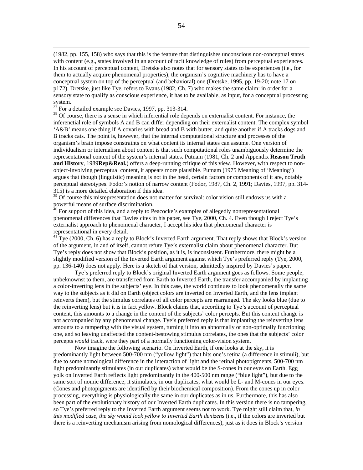(1982, pp. 155, 158) who says that this is the feature that distinguishes unconscious non-conceptual states with content (e.g., states involved in an account of tacit knowledge of rules) from perceptual experiences. In his account of perceptual content, Dretske also notes that for sensory states to be experiences (i.e., for them to actually acquire phenomenal properties), the organism's cognitive machinery has to have a conceptual system on top of the perceptual (and behavioral) one (Dretske, 1995, pp. 19-20; note 17 on p172). Dretske, just like Tye, refers to Evans (1982, Ch. 7) who makes the same claim: in order for a sensory state to qualify as conscious experience, it has to be available, as input, for a conceptual processing system.

 $3^{\frac{3}{7}}$  For a detailed example see Davies, 1997, pp. 313-314.

 $\overline{a}$ 

<sup>38</sup> Of course, there is a sense in which inferential role depends on externalist content. For instance, the inferenctial role of symbols A and B can differ depending on their externalist content. The complex symbol 'A&B' means one thing if A covaries with bread and B with butter, and quite another if A tracks dogs and B tracks cats. The point is, however, that the internal computational structure and processes of the organism's brain impose constraints on what content its internal states can assume. One version of individualism or internalism about content is that such computational roles unambiguously determine the representational content of the system's internal states. Putnam (1981, Ch. 2 and Appendix **Reason Truth** and History, 1989Rep&Real.) offers a deep-running critique of this view. However, with respect to nonobject-involving perceptual content, it appears more plausible. Putnam (1975 Meaning of 'Meaning') argues that though (linguistic) meaning is not in the head, certain factors or components of it are, notably perceptual stereotypes. Fodor's notion of narrow content (Fodor, 1987, Ch. 2, 1991; Davies, 1997, pp. 314- 315) is a more detailed elaboration if this idea.

<sup>39</sup> Of course this misrepresentation does not matter for survival: color vision still endows us with a powerful means of surface discrimination.

<sup>40</sup> For support of this idea, and a reply to Peacocke's examples of allegedly nonrepresentational phenomenal differences that Davies cites in his paper, see Tye, 2000, Ch. 4. Even though I reject Tye's externalist approach to phenomenal character, I accept his idea that phenomenal character is representational in every detail.

 $41$ <sup>1</sup> Tye (2000, Ch. 6) has a reply to Block's Inverted Earth argument. That reply shows that Block's version of the argument, in and of itself, cannot refute Tye's externalist claim about phenomenal character. But Tye's reply does not show that Block's position, as it is, is inconsistent. Furthermore, there might be a slightly modified version of the Inverted Earth argument against which Tye's preferred reply (Tye, 2000, pp. 136-140) does not apply. Here is a sketch of that version, admittedly inspired by Davies's paper.

Tye's preferred reply to Block's original Inverted Earth argument goes as follows. Some people, unbeknownst to them, are transferred from Earth to Inverted Earth, the transfer accompanied by implanting a color-inverting lens in the subjects' eye. In this case, the world continues to look phenomenally the same way to the subjects as it did on Earth (object colors are inverted on Inverted Earth, and the lens implant reinverts them), but the stimulus correlates of all color percepts are rearranged. The sky looks blue (due to the reinverting lens) but it is in fact yellow. Block claims that, according to Tye's account of perceptual content, this amounts to a change in the content of the subjects' color percepts. But this content change is not accompanied by any phenomenal change. Tye's preferred reply is that implanting the reinverting lens amounts to a tampering with the visual system, turning it into an abnormally or non-optimally functioning one, and so leaving unaffected the content-bestowing stimulus correlates, the ones that the subjects' color percepts *would* track, were they part of a normally functioning color-vision system.

Now imagine the following scenario. On Inverted Earth, if one looks at the sky, it is predominantly light between 500-700 nm ("yellow light") that hits one's retina (a difference in stimuli), but due to some nomological difference in the interaction of light and the retinal photopigments, 500-700 nm light predominantly stimulates (in our duplicates) what would be the S-cones in our eyes on Earth. Egg yolk on Inverted Earth reflects light predominantly in the 400-500 nm range ("blue light"), but due to the same sort of nomic difference, it stimulates, in our duplicates, what would be L- and M-cones in our eyes. (Cones and photopigments are identified by their biochemical composition). From the cones up in color processing, everything is physiologically the same in our duplicates as in us. Furthermore, this has also been part of the evolutionary history of our Inverted Earth duplicates. In this version there is no tampering, so Tye's preferred reply to the Inverted Earth argument seems not to work. Tye might still claim that, *in this modified case, the sky would look yellow to Inverted Earth denizens* (i.e., if the colors are inverted but there is a reinverting mechanism arising from nomological differences), just as it does in Block's version